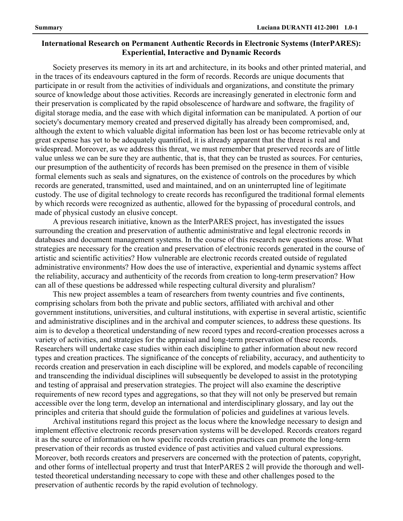## **International Research on Permanent Authentic Records in Electronic Systems (InterPARES): Experiential, Interactive and Dynamic Records**

Society preserves its memory in its art and architecture, in its books and other printed material, and in the traces of its endeavours captured in the form of records. Records are unique documents that participate in or result from the activities of individuals and organizations, and constitute the primary source of knowledge about those activities. Records are increasingly generated in electronic form and their preservation is complicated by the rapid obsolescence of hardware and software, the fragility of digital storage media, and the ease with which digital information can be manipulated. A portion of our society's documentary memory created and preserved digitally has already been compromised, and, although the extent to which valuable digital information has been lost or has become retrievable only at great expense has yet to be adequately quantified, it is already apparent that the threat is real and widespread. Moreover, as we address this threat, we must remember that preserved records are of little value unless we can be sure they are authentic, that is, that they can be trusted as sources. For centuries, our presumption of the authenticity of records has been premised on the presence in them of visible formal elements such as seals and signatures, on the existence of controls on the procedures by which records are generated, transmitted, used and maintained, and on an uninterrupted line of legitimate custody. The use of digital technology to create records has reconfigured the traditional formal elements by which records were recognized as authentic, allowed for the bypassing of procedural controls, and made of physical custody an elusive concept.

A previous research initiative, known as the InterPARES project, has investigated the issues surrounding the creation and preservation of authentic administrative and legal electronic records in databases and document management systems. In the course of this research new questions arose. What strategies are necessary for the creation and preservation of electronic records generated in the course of artistic and scientific activities? How vulnerable are electronic records created outside of regulated administrative environments? How does the use of interactive, experiential and dynamic systems affect the reliability, accuracy and authenticity of the records from creation to long-term preservation? How can all of these questions be addressed while respecting cultural diversity and pluralism?

This new project assembles a team of researchers from twenty countries and five continents, comprising scholars from both the private and public sectors, affiliated with archival and other government institutions, universities, and cultural institutions, with expertise in several artistic, scientific and administrative disciplines and in the archival and computer sciences, to address these questions. Its aim is to develop a theoretical understanding of new record types and record-creation processes across a variety of activities, and strategies for the appraisal and long-term preservation of these records. Researchers will undertake case studies within each discipline to gather information about new record types and creation practices. The significance of the concepts of reliability, accuracy, and authenticity to records creation and preservation in each discipline will be explored, and models capable of reconciling and transcending the individual disciplines will subsequently be developed to assist in the prototyping and testing of appraisal and preservation strategies. The project will also examine the descriptive requirements of new record types and aggregations, so that they will not only be preserved but remain accessible over the long term, develop an international and interdisciplinary glossary, and lay out the principles and criteria that should guide the formulation of policies and guidelines at various levels.

Archival institutions regard this project as the locus where the knowledge necessary to design and implement effective electronic records preservation systems will be developed. Records creators regard it as the source of information on how specific records creation practices can promote the long-term preservation of their records as trusted evidence of past activities and valued cultural expressions. Moreover, both records creators and preservers are concerned with the protection of patents, copyright, and other forms of intellectual property and trust that InterPARES 2 will provide the thorough and welltested theoretical understanding necessary to cope with these and other challenges posed to the preservation of authentic records by the rapid evolution of technology.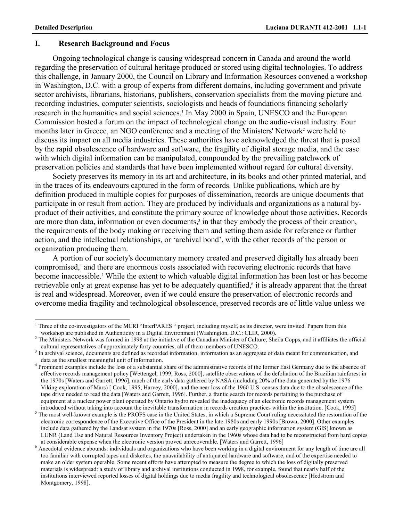### **I. Research Background and Focus**

Ongoing technological change is causing widespread concern in Canada and around the world regarding the preservation of cultural heritage produced or stored using digital technologies. To address this challenge, in January 2000, the Council on Library and Information Resources convened a workshop in Washington, D.C. with a group of experts from different domains, including government and private sector archivists, librarians, historians, publishers, conservation specialists from the moving picture and recording industries, computer scientists, sociologists and heads of foundations financing scholarly research in the humanities and social sciences.<sup>1</sup> In May 2000 in Spain, UNESCO and the European Commission hosted a forum on the impact of technological change on the audio-visual industry. Four months later in Greece, an NGO conference and a meeting of the Ministers' Network<sup>2</sup> were held to discuss its impact on all media industries. These authorities have acknowledged the threat that is posed by the rapid obsolescence of hardware and software, the fragility of digital storage media, and the ease with which digital information can be manipulated, compounded by the prevailing patchwork of preservation policies and standards that have been implemented without regard for cultural diversity.

Society preserves its memory in its art and architecture, in its books and other printed material, and in the traces of its endeavours captured in the form of records. Unlike publications, which are by definition produced in multiple copies for purposes of dissemination, records are unique documents that participate in or result from action. They are produced by individuals and organizations as a natural byproduct of their activities, and constitute the primary source of knowledge about those activities. Records are more than data, information or even documents,<sup>3</sup> in that they embody the process of their creation, the requirements of the body making or receiving them and setting them aside for reference or further action, and the intellectual relationships, or 'archival bond', with the other records of the person or organization producing them.

A portion of our society's documentary memory created and preserved digitally has already been compromised,<sup>4</sup> and there are enormous costs associated with recovering electronic records that have become inaccessible.<sup>5</sup> While the extent to which valuable digital information has been lost or has become retrievable only at great expense has yet to be adequately quantified,<sup>6</sup> it is already apparent that the threat is real and widespread. Moreover, even if we could ensure the preservation of electronic records and overcome media fragility and technological obsolescence, preserved records are of little value unless we

<sup>&</sup>lt;sup>1</sup> Three of the co-investigators of the MCRI "InterPARES " project, including myself, as its director, were invited. Papers from this

workshop are published in Authenticity in a Digital Environment (Washington, D.C.: CLIR, 2000).<br><sup>2</sup> The Ministers Network was formed in 1998 at the initiative of the Canadian Minister of Culture, Sheila Copps, and it affil cultural representatives of approximately forty countries, all of them members of UNESCO.

<sup>&</sup>lt;sup>3</sup> In archival science, documents are defined as recorded information, information as an aggregate of data meant for communication, and data as the smallest meaningful unit of information. 4

<sup>&</sup>lt;sup>4</sup> Prominent examples include the loss of a substantial share of the administrative records of the former East Germany due to the absence of effective records management policy [Wettengel, 1999; Ross, 2000], satellite observations of the defoliation of the Brazilian rainforest in the 1970s [Waters and Garrett, 1996], much of the early data gathered by NASA (including 20% of the data generated by the 1976 Viking exploration of Mars) [ Cook, 1995; Harvey, 2000], and the near loss of the 1960 U.S. census data due to the obsolescence of the tape drive needed to read the data [Waters and Garrett, 1996]. Further, a frantic search for records pertaining to the purchase of equipment at a nuclear power plant operated by Ontario hydro revealed the inadequacy of an electronic records management system

introduced without taking into account the inevitable transformation in records creation practices within the institution. [Cook, 1995]<br><sup>5</sup> The most well-known example is the PROFS case in the United States, in which a Sup electronic correspondence of the Executive Office of the President in the late 1980s and early 1990s [Brown, 2000]. Other examples include data gathered by the Landsat system in the 1970s [Ross, 2000] and an early geographic information system (GIS) known as LUNR (Land Use and Natural Resources Inventory Project) undertaken in the 1960s whose data had to be reconstructed from hard copies at considerable expense when the electronic version proved unrecoverable. [Waters and Garrett, 1996]

 $<sup>6</sup>$  Anecdotal evidence abounds: individuals and organizations who have been working in a digital environment for any length of time are all</sup> too familiar with corrupted tapes and diskettes, the unavailability of antiquated hardware and software, and of the expertise needed to make an older system operable. Some recent efforts have attempted to measure the degree to which the loss of digitally preserved materials is widespread: a study of library and archival institutions conducted in 1998, for example, found that nearly half of the institutions interviewed reported losses of digital holdings due to media fragility and technological obsolescence [Hedstrom and Montgomery, 1998].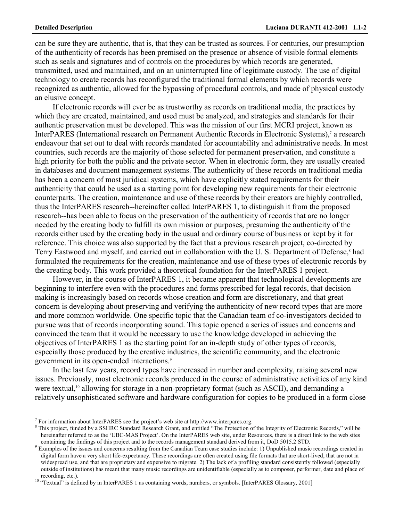can be sure they are authentic, that is, that they can be trusted as sources. For centuries, our presumption of the authenticity of records has been premised on the presence or absence of visible formal elements such as seals and signatures and of controls on the procedures by which records are generated, transmitted, used and maintained, and on an uninterrupted line of legitimate custody. The use of digital technology to create records has reconfigured the traditional formal elements by which records were recognized as authentic, allowed for the bypassing of procedural controls, and made of physical custody an elusive concept.

If electronic records will ever be as trustworthy as records on traditional media, the practices by which they are created, maintained, and used must be analyzed, and strategies and standards for their authentic preservation must be developed. This was the mission of our first MCRI project, known as InterPARES (International research on Permanent Authentic Records in Electronic Systems),<sup>7</sup> a research endeavour that set out to deal with records mandated for accountability and administrative needs. In most countries, such records are the majority of those selected for permanent preservation, and constitute a high priority for both the public and the private sector. When in electronic form, they are usually created in databases and document management systems. The authenticity of these records on traditional media has been a concern of most juridical systems, which have explicitly stated requirements for their authenticity that could be used as a starting point for developing new requirements for their electronic counterparts. The creation, maintenance and use of these records by their creators are highly controlled, thus the InterPARES research--hereinafter called InterPARES 1, to distinguish it from the proposed research--has been able to focus on the preservation of the authenticity of records that are no longer needed by the creating body to fulfill its own mission or purposes, presuming the authenticity of the records either used by the creating body in the usual and ordinary course of business or kept by it for reference. This choice was also supported by the fact that a previous research project, co-directed by Terry Eastwood and myself, and carried out in collaboration with the U.S. Department of Defense,<sup>8</sup> had formulated the requirements for the creation, maintenance and use of these types of electronic records by the creating body. This work provided a theoretical foundation for the InterPARES 1 project.

However, in the course of InterPARES 1, it became apparent that technological developments are beginning to interfere even with the procedures and forms prescribed for legal records, that decision making is increasingly based on records whose creation and form are discretionary, and that great concern is developing about preserving and verifying the authenticity of new record types that are more and more common worldwide. One specific topic that the Canadian team of co-investigators decided to pursue was that of records incorporating sound. This topic opened a series of issues and concerns and convinced the team that it would be necessary to use the knowledge developed in achieving the objectives of InterPARES 1 as the starting point for an in-depth study of other types of records, especially those produced by the creative industries, the scientific community, and the electronic government in its open-ended interactions.<sup>9</sup>

In the last few years, record types have increased in number and complexity, raising several new issues. Previously, most electronic records produced in the course of administrative activities of any kind were textual,<sup>10</sup> allowing for storage in a non-proprietary format (such as ASCII), and demanding a relatively unsophisticated software and hardware configuration for copies to be produced in a form close

 $^7$  For information about InterPARES see the project's web site at http://www.interpares.org.<br> $^8$  This project, funded by a SSHPC Standard Because Grapt, and ontitled "The Protection of

 $8$  This project, funded by a SSHRC Standard Research Grant, and entitled "The Protection of the Integrity of Electronic Records," will be hereinafter referred to as the 'UBC-MAS Project'. On the InterPARES web site, under Resources, there is a direct link to the web sites containing the findings of this project and to the records management standard derived

<sup>&</sup>lt;sup>9</sup> Examples of the issues and concerns resulting from the Canadian Team case studies include: 1) Unpublished music recordings created in digital form have a very short life-expectancy. These recordings are often created using file formats that are short-lived, that are not in widespread use, and that are proprietary and expensive to migrate. 2) The lack of a profiling standard consistently followed (especially outside of institutions) has meant that many music recordings are unidentifiable (especially as to composer, performer, date and place of recording, etc.).

<sup>&</sup>lt;sup>10</sup> "Textual" is defined by in InterPARES 1 as containing words, numbers, or symbols. [InterPARES Glossary, 2001]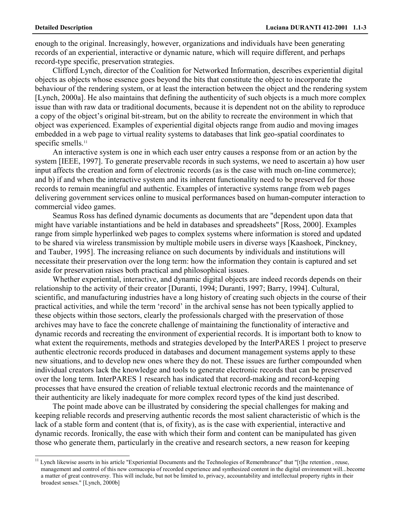enough to the original. Increasingly, however, organizations and individuals have been generating records of an experiential, interactive or dynamic nature, which will require different, and perhaps record-type specific, preservation strategies.

Clifford Lynch, director of the Coalition for Networked Information, describes experiential digital objects as objects whose essence goes beyond the bits that constitute the object to incorporate the behaviour of the rendering system, or at least the interaction between the object and the rendering system [Lynch, 2000a]. He also maintains that defining the authenticity of such objects is a much more complex issue than with raw data or traditional documents, because it is dependent not on the ability to reproduce a copy of the object's original bit-stream, but on the ability to recreate the environment in which that object was experienced. Examples of experiential digital objects range from audio and moving images embedded in a web page to virtual reality systems to databases that link geo-spatial coordinates to specific smells.<sup>11</sup>

An interactive system is one in which each user entry causes a response from or an action by the system [IEEE, 1997]. To generate preservable records in such systems, we need to ascertain a) how user input affects the creation and form of electronic records (as is the case with much on-line commerce); and b) if and when the interactive system and its inherent functionality need to be preserved for those records to remain meaningful and authentic. Examples of interactive systems range from web pages delivering government services online to musical performances based on human-computer interaction to commercial video games.

Seamus Ross has defined dynamic documents as documents that are "dependent upon data that might have variable instantiations and be held in databases and spreadsheets" [Ross, 2000]. Examples range from simple hyperlinked web pages to complex systems where information is stored and updated to be shared via wireless transmission by multiple mobile users in diverse ways [Kaashoek, Pinckney, and Tauber, 1995]. The increasing reliance on such documents by individuals and institutions will necessitate their preservation over the long term: how the information they contain is captured and set aside for preservation raises both practical and philosophical issues.

Whether experiential, interactive, and dynamic digital objects are indeed records depends on their relationship to the activity of their creator [Duranti, 1994; Duranti, 1997; Barry, 1994]. Cultural, scientific, and manufacturing industries have a long history of creating such objects in the course of their practical activities, and while the term 'record' in the archival sense has not been typically applied to these objects within those sectors, clearly the professionals charged with the preservation of those archives may have to face the concrete challenge of maintaining the functionality of interactive and dynamic records and recreating the environment of experiential records. It is important both to know to what extent the requirements, methods and strategies developed by the InterPARES 1 project to preserve authentic electronic records produced in databases and document management systems apply to these new situations, and to develop new ones where they do not. These issues are further compounded when individual creators lack the knowledge and tools to generate electronic records that can be preserved over the long term. InterPARES 1 research has indicated that record-making and record-keeping processes that have ensured the creation of reliable textual electronic records and the maintenance of their authenticity are likely inadequate for more complex record types of the kind just described.

The point made above can be illustrated by considering the special challenges for making and keeping reliable records and preserving authentic records the most salient characteristic of which is the lack of a stable form and content (that is, of fixity), as is the case with experiential, interactive and dynamic records. Ironically, the ease with which their form and content can be manipulated has given those who generate them, particularly in the creative and research sectors, a new reason for keeping

<sup>&</sup>lt;sup>11</sup> Lynch likewise asserts in his article "Experiential Documents and the Technologies of Remembrance" that "[t]he retention, reuse, management and control of this new cornucopia of recorded experience and synthesized content in the digital environment will...become a matter of great controversy. This will include, but not be limited to, privacy, accountability and intellectual property rights in their broadest senses." [Lynch, 2000b]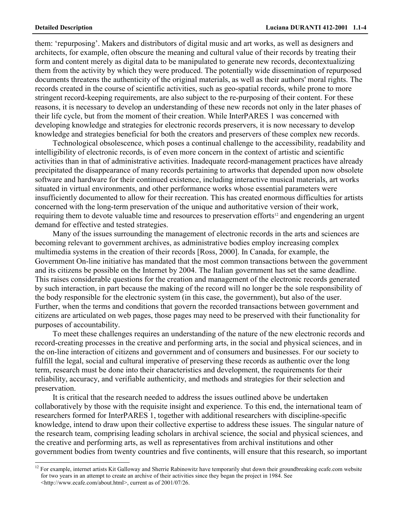them: 'repurposing'. Makers and distributors of digital music and art works, as well as designers and architects, for example, often obscure the meaning and cultural value of their records by treating their form and content merely as digital data to be manipulated to generate new records, decontextualizing them from the activity by which they were produced. The potentially wide dissemination of repurposed documents threatens the authenticity of the original materials, as well as their authors' moral rights. The records created in the course of scientific activities, such as geo-spatial records, while prone to more stringent record-keeping requirements, are also subject to the re-purposing of their content. For these reasons, it is necessary to develop an understanding of these new records not only in the later phases of their life cycle, but from the moment of their creation. While InterPARES 1 was concerned with developing knowledge and strategies for electronic records preservers, it is now necessary to develop knowledge and strategies beneficial for both the creators and preservers of these complex new records.

Technological obsolescence, which poses a continual challenge to the accessibility, readability and intelligibility of electronic records, is of even more concern in the context of artistic and scientific activities than in that of administrative activities. Inadequate record-management practices have already precipitated the disappearance of many records pertaining to artworks that depended upon now obsolete software and hardware for their continued existence, including interactive musical materials, art works situated in virtual environments, and other performance works whose essential parameters were insufficiently documented to allow for their recreation. This has created enormous difficulties for artists concerned with the long-term preservation of the unique and authoritative version of their work, requiring them to devote valuable time and resources to preservation efforts<sup>12</sup> and engendering an urgent demand for effective and tested strategies.

Many of the issues surrounding the management of electronic records in the arts and sciences are becoming relevant to government archives, as administrative bodies employ increasing complex multimedia systems in the creation of their records [Ross, 2000]. In Canada, for example, the Government On-line initiative has mandated that the most common transactions between the government and its citizens be possible on the Internet by 2004. The Italian government has set the same deadline. This raises considerable questions for the creation and management of the electronic records generated by such interaction, in part because the making of the record will no longer be the sole responsibility of the body responsible for the electronic system (in this case, the government), but also of the user. Further, when the terms and conditions that govern the recorded transactions between government and citizens are articulated on web pages, those pages may need to be preserved with their functionality for purposes of accountability.

To meet these challenges requires an understanding of the nature of the new electronic records and record-creating processes in the creative and performing arts, in the social and physical sciences, and in the on-line interaction of citizens and government and of consumers and businesses. For our society to fulfill the legal, social and cultural imperative of preserving these records as authentic over the long term, research must be done into their characteristics and development, the requirements for their reliability, accuracy, and verifiable authenticity, and methods and strategies for their selection and preservation.

It is critical that the research needed to address the issues outlined above be undertaken collaboratively by those with the requisite insight and experience. To this end, the international team of researchers formed for InterPARES 1, together with additional researchers with discipline-specific knowledge, intend to draw upon their collective expertise to address these issues. The singular nature of the research team, comprising leading scholars in archival science, the social and physical sciences, and the creative and performing arts, as well as representatives from archival institutions and other government bodies from twenty countries and five continents, will ensure that this research, so important

<sup>&</sup>lt;sup>12</sup> For example, internet artists Kit Galloway and Sherrie Rabinowitz have temporarily shut down their groundbreaking ecafe.com website for two years in an attempt to create an archive of their activities since they began the project in 1984. See <http://www.ecafe.com/about.html>, current as of 2001/07/26.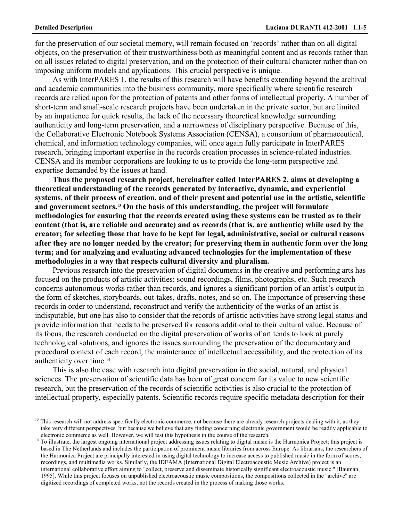for the preservation of our societal memory, will remain focused on 'records' rather than on all digital objects, on the preservation of their trustworthiness both as meaningful content and as records rather than on all issues related to digital preservation, and on the protection of their cultural character rather than on imposing uniform models and applications. This crucial perspective is unique.

As with InterPARES 1, the results of this research will have benefits extending beyond the archival and academic communities into the business community, more specifically where scientific research records are relied upon for the protection of patents and other forms of intellectual property. A number of short-term and small-scale research projects have been undertaken in the private sector, but are limited by an impatience for quick results, the lack of the necessary theoretical knowledge surrounding authenticity and long-term preservation, and a narrowness of disciplinary perspective. Because of this, the Collaborative Electronic Notebook Systems Association (CENSA), a consortium of pharmaceutical, chemical, and information technology companies, will once again fully participate in InterPARES research, bringing important expertise in the records creation processes in science-related industries. CENSA and its member corporations are looking to us to provide the long-term perspective and expertise demanded by the issues at hand.

**Thus the proposed research project, hereinafter called InterPARES 2, aims at developing a theoretical understanding of the records generated by interactive, dynamic, and experiential systems, of their process of creation, and of their present and potential use in the artistic, scientific and government sectors.**13 **On the basis of this understanding, the project will formulate methodologies for ensuring that the records created using these systems can be trusted as to their content (that is, are reliable and accurate) and as records (that is, are authentic) while used by the creator; for selecting those that have to be kept for legal, administrative, social or cultural reasons after they are no longer needed by the creator; for preserving them in authentic form over the long term; and for analyzing and evaluating advanced technologies for the implementation of these methodologies in a way that respects cultural diversity and pluralism.** 

Previous research into the preservation of digital documents in the creative and performing arts has focused on the products of artistic activities: sound recordings, films, photographs, etc. Such research concerns autonomous works rather than records, and ignores a significant portion of an artist's output in the form of sketches, storyboards, out-takes, drafts, notes, and so on. The importance of preserving these records in order to understand, reconstruct and verify the authenticity of the works of an artist is indisputable, but one has also to consider that the records of artistic activities have strong legal status and provide information that needs to be preserved for reasons additional to their cultural value. Because of its focus, the research conducted on the digital preservation of works of art tends to look at purely technological solutions, and ignores the issues surrounding the preservation of the documentary and procedural context of each record, the maintenance of intellectual accessibility, and the protection of its authenticity over time.14

This is also the case with research into digital preservation in the social, natural, and physical sciences. The preservation of scientific data has been of great concern for its value to new scientific research, but the preservation of the records of scientific activities is also crucial to the protection of intellectual property, especially patents. Scientific records require specific metadata description for their

<sup>&</sup>lt;sup>13</sup> This research will not address specifically electronic commerce, not because there are already research projects dealing with it, as they take very different perspectives, but because we believe that any finding concerning electronic government would be readily applicable to electronic commerce as well. However, we will test this hypothesis in the course of the research.<br>To illustrate, the largest ongoing international project addressing issues relating to digital music is the Harmonica Projec

based in The Netherlands and includes the participation of prominent music libraries from across Europe. As librarians, the researchers of the Harmonica Project are principally interested in using digital technology to increase access to published music in the form of scores, recordings, and multimedia works. Similarly, the IDEAMA (International Digital Electroacoustic Music Archive) project is an international collaborative effort aiming to "collect, preserve and disseminate historically significant electroacoustic music." [Bauman, 1995]. While this project focuses on unpublished electroacoustic music compositions, the compositions collected in the "archive" are digitized recordings of completed works, not the records created in the process of making those works.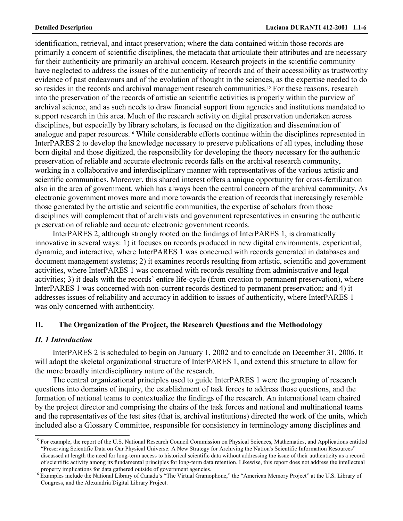identification, retrieval, and intact preservation; where the data contained within those records are primarily a concern of scientific disciplines, the metadata that articulate their attributes and are necessary for their authenticity are primarily an archival concern. Research projects in the scientific community have neglected to address the issues of the authenticity of records and of their accessibility as trustworthy evidence of past endeavours and of the evolution of thought in the sciences, as the expertise needed to do so resides in the records and archival management research communities.<sup>15</sup> For these reasons, research into the preservation of the records of artistic an scientific activities is properly within the purview of archival science, and as such needs to draw financial support from agencies and institutions mandated to support research in this area. Much of the research activity on digital preservation undertaken across disciplines, but especially by library scholars, is focused on the digitization and dissemination of analogue and paper resources.16 While considerable efforts continue within the disciplines represented in InterPARES 2 to develop the knowledge necessary to preserve publications of all types, including those born digital and those digitized, the responsibility for developing the theory necessary for the authentic preservation of reliable and accurate electronic records falls on the archival research community, working in a collaborative and interdisciplinary manner with representatives of the various artistic and scientific communities. Moreover, this shared interest offers a unique opportunity for cross-fertilization also in the area of government, which has always been the central concern of the archival community. As electronic government moves more and more towards the creation of records that increasingly resemble those generated by the artistic and scientific communities, the expertise of scholars from those disciplines will complement that of archivists and government representatives in ensuring the authentic preservation of reliable and accurate electronic government records.

InterPARES 2, although strongly rooted on the findings of InterPARES 1, is dramatically innovative in several ways: 1) it focuses on records produced in new digital environments, experiential, dynamic, and interactive, where InterPARES 1 was concerned with records generated in databases and document management systems; 2) it examines records resulting from artistic, scientific and government activities, where InterPARES 1 was concerned with records resulting from administrative and legal activities; 3) it deals with the records' entire life-cycle (from creation to permanent preservation), where InterPARES 1 was concerned with non-current records destined to permanent preservation; and 4) it addresses issues of reliability and accuracy in addition to issues of authenticity, where InterPARES 1 was only concerned with authenticity.

# **II. The Organization of the Project, the Research Questions and the Methodology**

## *II. 1 Introduction*

InterPARES 2 is scheduled to begin on January 1, 2002 and to conclude on December 31, 2006. It will adopt the skeletal organizational structure of InterPARES 1, and extend this structure to allow for the more broadly interdisciplinary nature of the research.

The central organizational principles used to guide InterPARES 1 were the grouping of research questions into domains of inquiry, the establishment of task forces to address those questions, and the formation of national teams to contextualize the findings of the research. An international team chaired by the project director and comprising the chairs of the task forces and national and multinational teams and the representatives of the test sites (that is, archival institutions) directed the work of the units, which included also a Glossary Committee, responsible for consistency in terminology among disciplines and

<sup>&</sup>lt;sup>15</sup> For example, the report of the U.S. National Research Council Commission on Physical Sciences, Mathematics, and Applications entitled "Preserving Scientific Data on Our Physical Universe: A New Strategy for Archiving the Nation's Scientific Information Resources" discussed at length the need for long-term access to historical scientific data without addressing the issue of their authenticity as a record of scientific activity among its fundamental principles for long-term data retention. Likewise, this report does not address the intellectual property implications for data gathered outside of government agencies.<br>16 Examples include the National Library of Canada's "The Virtual Gramophone," the "American Memory Project" at the U.S. Library of

Congress, and the Alexandria Digital Library Project.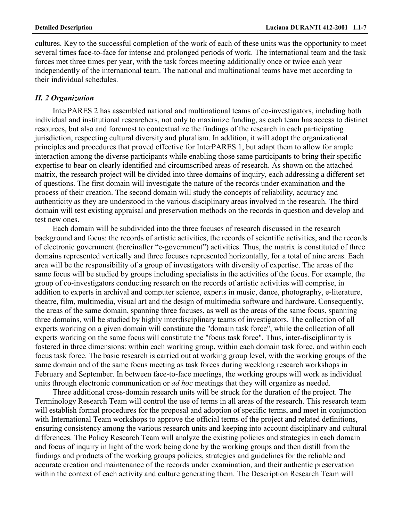cultures. Key to the successful completion of the work of each of these units was the opportunity to meet several times face-to-face for intense and prolonged periods of work. The international team and the task forces met three times per year, with the task forces meeting additionally once or twice each year independently of the international team. The national and multinational teams have met according to their individual schedules.

### *II. 2 Organization*

InterPARES 2 has assembled national and multinational teams of co-investigators, including both individual and institutional researchers, not only to maximize funding, as each team has access to distinct resources, but also and foremost to contextualize the findings of the research in each participating jurisdiction, respecting cultural diversity and pluralism. In addition, it will adopt the organizational principles and procedures that proved effective for InterPARES 1, but adapt them to allow for ample interaction among the diverse participants while enabling those same participants to bring their specific expertise to bear on clearly identified and circumscribed areas of research. As shown on the attached matrix, the research project will be divided into three domains of inquiry, each addressing a different set of questions. The first domain will investigate the nature of the records under examination and the process of their creation. The second domain will study the concepts of reliability, accuracy and authenticity as they are understood in the various disciplinary areas involved in the research. The third domain will test existing appraisal and preservation methods on the records in question and develop and test new ones.

Each domain will be subdivided into the three focuses of research discussed in the research background and focus: the records of artistic activities, the records of scientific activities, and the records of electronic government (hereinafter "e-government") activities. Thus, the matrix is constituted of three domains represented vertically and three focuses represented horizontally, for a total of nine areas. Each area will be the responsibility of a group of investigators with diversity of expertise. The areas of the same focus will be studied by groups including specialists in the activities of the focus. For example, the group of co-investigators conducting research on the records of artistic activities will comprise, in addition to experts in archival and computer science, experts in music, dance, photography, e-literature, theatre, film, multimedia, visual art and the design of multimedia software and hardware. Consequently, the areas of the same domain, spanning three focuses, as well as the areas of the same focus, spanning three domains, will be studied by highly interdisciplinary teams of investigators. The collection of all experts working on a given domain will constitute the "domain task force", while the collection of all experts working on the same focus will constitute the "focus task force". Thus, inter-disciplinarity is fostered in three dimensions: within each working group, within each domain task force, and within each focus task force. The basic research is carried out at working group level, with the working groups of the same domain and of the same focus meeting as task forces during weeklong research workshops in February and September. In between face-to-face meetings, the working groups will work as individual units through electronic communication or *ad hoc* meetings that they will organize as needed.

Three additional cross-domain research units will be struck for the duration of the project. The Terminology Research Team will control the use of terms in all areas of the research. This research team will establish formal procedures for the proposal and adoption of specific terms, and meet in conjunction with International Team workshops to approve the official terms of the project and related definitions, ensuring consistency among the various research units and keeping into account disciplinary and cultural differences. The Policy Research Team will analyze the existing policies and strategies in each domain and focus of inquiry in light of the work being done by the working groups and then distill from the findings and products of the working groups policies, strategies and guidelines for the reliable and accurate creation and maintenance of the records under examination, and their authentic preservation within the context of each activity and culture generating them. The Description Research Team will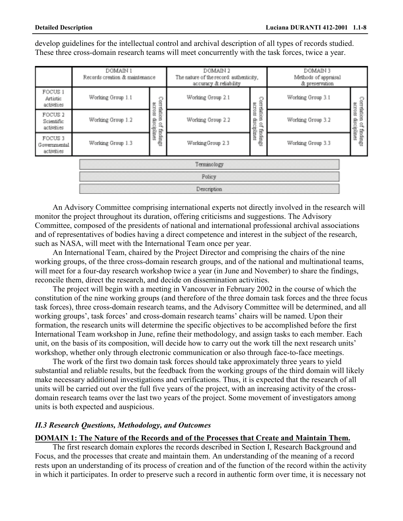develop guidelines for the intellectual control and archival description of all types of records studied. These three cross-domain research teams will meet concurrently with the task forces, twice a year.

|                                                | DOMAIN 1<br>Records creation & maintenance |                                                          | DOMAIN 2<br>The nature of the record: authenticity,<br>accuracy & reliability |                                                             | DOMAIN 3<br>Methods of appraisal<br>& preservation |                                                     |
|------------------------------------------------|--------------------------------------------|----------------------------------------------------------|-------------------------------------------------------------------------------|-------------------------------------------------------------|----------------------------------------------------|-----------------------------------------------------|
| FOCUS <sub>1</sub><br>Artistic<br>activities   | Working Group 1.1                          | Correlation<br>第CLO88<br>ę<br>ä,<br>di<br>Bi<br>findings | Working Group 2.1                                                             | Correlation<br>across<br>insip<br>å,<br>iplines<br>findings | Working Group 3.1                                  | Correlation<br>across<br>disciplines<br>of findings |
| FOCUS <sub>2</sub><br>Scientific<br>activities | Working Group 1.2                          |                                                          | Working Group 2.2                                                             |                                                             | Working Group 3.2                                  |                                                     |
| FOCUS 3<br>Governmental<br>activities          | Working Group 1.3                          |                                                          | WorkingGroup 2.3                                                              |                                                             | Working Group 3.3                                  |                                                     |
| Terminology                                    |                                            |                                                          |                                                                               |                                                             |                                                    |                                                     |
| Policy                                         |                                            |                                                          |                                                                               |                                                             |                                                    |                                                     |
|                                                | Description                                |                                                          |                                                                               |                                                             |                                                    |                                                     |

An Advisory Committee comprising international experts not directly involved in the research will monitor the project throughout its duration, offering criticisms and suggestions. The Advisory Committee, composed of the presidents of national and international professional archival associations and of representatives of bodies having a direct competence and interest in the subject of the research, such as NASA, will meet with the International Team once per year.

An International Team, chaired by the Project Director and comprising the chairs of the nine working groups, of the three cross-domain research groups, and of the national and multinational teams, will meet for a four-day research workshop twice a year (in June and November) to share the findings, reconcile them, direct the research, and decide on dissemination activities.

The project will begin with a meeting in Vancouver in February 2002 in the course of which the constitution of the nine working groups (and therefore of the three domain task forces and the three focus task forces), three cross-domain research teams, and the Advisory Committee will be determined, and all working groups', task forces' and cross-domain research teams' chairs will be named. Upon their formation, the research units will determine the specific objectives to be accomplished before the first International Team workshop in June, refine their methodology, and assign tasks to each member. Each unit, on the basis of its composition, will decide how to carry out the work till the next research units' workshop, whether only through electronic communication or also through face-to-face meetings.

The work of the first two domain task forces should take approximately three years to yield substantial and reliable results, but the feedback from the working groups of the third domain will likely make necessary additional investigations and verifications. Thus, it is expected that the research of all units will be carried out over the full five years of the project, with an increasing activity of the crossdomain research teams over the last two years of the project. Some movement of investigators among units is both expected and auspicious.

### *II.3 Research Questions, Methodology, and Outcomes*

### **DOMAIN 1: The Nature of the Records and of the Processes that Create and Maintain Them.**

The first research domain explores the records described in Section I, Research Background and Focus, and the processes that create and maintain them. An understanding of the meaning of a record rests upon an understanding of its process of creation and of the function of the record within the activity in which it participates. In order to preserve such a record in authentic form over time, it is necessary not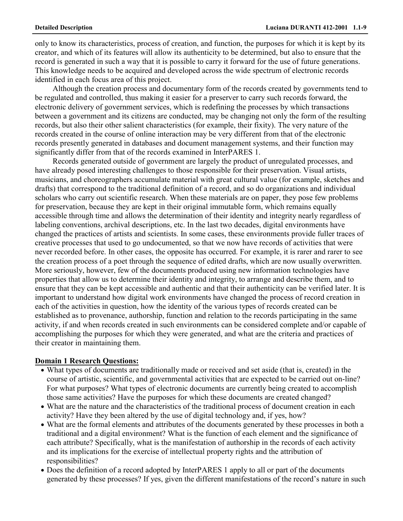only to know its characteristics, process of creation, and function, the purposes for which it is kept by its creator, and which of its features will allow its authenticity to be determined, but also to ensure that the record is generated in such a way that it is possible to carry it forward for the use of future generations. This knowledge needs to be acquired and developed across the wide spectrum of electronic records identified in each focus area of this project.

Although the creation process and documentary form of the records created by governments tend to be regulated and controlled, thus making it easier for a preserver to carry such records forward, the electronic delivery of government services, which is redefining the processes by which transactions between a government and its citizens are conducted, may be changing not only the form of the resulting records, but also their other salient characteristics (for example, their fixity). The very nature of the records created in the course of online interaction may be very different from that of the electronic records presently generated in databases and document management systems, and their function may significantly differ from that of the records examined in InterPARES 1.

Records generated outside of government are largely the product of unregulated processes, and have already posed interesting challenges to those responsible for their preservation. Visual artists, musicians, and choreographers accumulate material with great cultural value (for example, sketches and drafts) that correspond to the traditional definition of a record, and so do organizations and individual scholars who carry out scientific research. When these materials are on paper, they pose few problems for preservation, because they are kept in their original immutable form, which remains equally accessible through time and allows the determination of their identity and integrity nearly regardless of labeling conventions, archival descriptions, etc. In the last two decades, digital environments have changed the practices of artists and scientists. In some cases, these environments provide fuller traces of creative processes that used to go undocumented, so that we now have records of activities that were never recorded before. In other cases, the opposite has occurred. For example, it is rarer and rarer to see the creation process of a poet through the sequence of edited drafts, which are now usually overwritten. More seriously, however, few of the documents produced using new information technologies have properties that allow us to determine their identity and integrity, to arrange and describe them, and to ensure that they can be kept accessible and authentic and that their authenticity can be verified later. It is important to understand how digital work environments have changed the process of record creation in each of the activities in question, how the identity of the various types of records created can be established as to provenance, authorship, function and relation to the records participating in the same activity, if and when records created in such environments can be considered complete and/or capable of accomplishing the purposes for which they were generated, and what are the criteria and practices of their creator in maintaining them.

### **Domain 1 Research Questions:**

- What types of documents are traditionally made or received and set aside (that is, created) in the course of artistic, scientific, and governmental activities that are expected to be carried out on-line? For what purposes? What types of electronic documents are currently being created to accomplish those same activities? Have the purposes for which these documents are created changed?
- What are the nature and the characteristics of the traditional process of document creation in each activity? Have they been altered by the use of digital technology and, if yes, how?
- What are the formal elements and attributes of the documents generated by these processes in both a traditional and a digital environment? What is the function of each element and the significance of each attribute? Specifically, what is the manifestation of authorship in the records of each activity and its implications for the exercise of intellectual property rights and the attribution of responsibilities?
- Does the definition of a record adopted by InterPARES 1 apply to all or part of the documents generated by these processes? If yes, given the different manifestations of the record's nature in such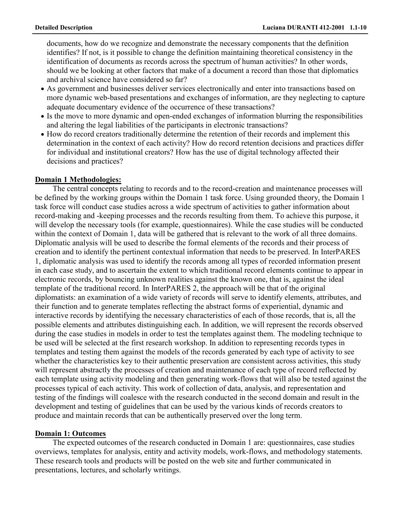documents, how do we recognize and demonstrate the necessary components that the definition identifies? If not, is it possible to change the definition maintaining theoretical consistency in the identification of documents as records across the spectrum of human activities? In other words, should we be looking at other factors that make of a document a record than those that diplomatics and archival science have considered so far?

- As government and businesses deliver services electronically and enter into transactions based on more dynamic web-based presentations and exchanges of information, are they neglecting to capture adequate documentary evidence of the occurrence of these transactions?
- Is the move to more dynamic and open-ended exchanges of information blurring the responsibilities and altering the legal liabilities of the participants in electronic transactions?
- How do record creators traditionally determine the retention of their records and implement this determination in the context of each activity? How do record retention decisions and practices differ for individual and institutional creators? How has the use of digital technology affected their decisions and practices?

### **Domain 1 Methodologies:**

The central concepts relating to records and to the record-creation and maintenance processes will be defined by the working groups within the Domain 1 task force. Using grounded theory, the Domain 1 task force will conduct case studies across a wide spectrum of activities to gather information about record-making and -keeping processes and the records resulting from them. To achieve this purpose, it will develop the necessary tools (for example, questionnaires). While the case studies will be conducted within the context of Domain 1, data will be gathered that is relevant to the work of all three domains. Diplomatic analysis will be used to describe the formal elements of the records and their process of creation and to identify the pertinent contextual information that needs to be preserved. In InterPARES 1, diplomatic analysis was used to identify the records among all types of recorded information present in each case study, and to ascertain the extent to which traditional record elements continue to appear in electronic records, by bouncing unknown realities against the known one, that is, against the ideal template of the traditional record. In InterPARES 2, the approach will be that of the original diplomatists: an examination of a wide variety of records will serve to identify elements, attributes, and their function and to generate templates reflecting the abstract forms of experiential, dynamic and interactive records by identifying the necessary characteristics of each of those records, that is, all the possible elements and attributes distinguishing each. In addition, we will represent the records observed during the case studies in models in order to test the templates against them. The modeling technique to be used will be selected at the first research workshop. In addition to representing records types in templates and testing them against the models of the records generated by each type of activity to see whether the characteristics key to their authentic preservation are consistent across activities, this study will represent abstractly the processes of creation and maintenance of each type of record reflected by each template using activity modeling and then generating work-flows that will also be tested against the processes typical of each activity. This work of collection of data, analysis, and representation and testing of the findings will coalesce with the research conducted in the second domain and result in the development and testing of guidelines that can be used by the various kinds of records creators to produce and maintain records that can be authentically preserved over the long term.

## **Domain 1: Outcomes**

The expected outcomes of the research conducted in Domain 1 are: questionnaires, case studies overviews, templates for analysis, entity and activity models, work-flows, and methodology statements. These research tools and products will be posted on the web site and further communicated in presentations, lectures, and scholarly writings.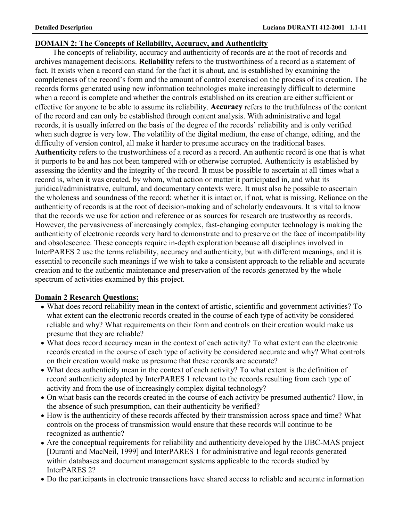# **DOMAIN 2: The Concepts of Reliability, Accuracy, and Authenticity**

The concepts of reliability, accuracy and authenticity of records are at the root of records and archives management decisions. **Reliability** refers to the trustworthiness of a record as a statement of fact. It exists when a record can stand for the fact it is about, and is established by examining the completeness of the record's form and the amount of control exercised on the process of its creation. The records forms generated using new information technologies make increasingly difficult to determine when a record is complete and whether the controls established on its creation are either sufficient or effective for anyone to be able to assume its reliability. **Accuracy** refers to the truthfulness of the content of the record and can only be established through content analysis. With administrative and legal records, it is usually inferred on the basis of the degree of the records' reliability and is only verified when such degree is very low. The volatility of the digital medium, the ease of change, editing, and the difficulty of version control, all make it harder to presume accuracy on the traditional bases. **Authenticity** refers to the trustworthiness of a record as a record. An authentic record is one that is what it purports to be and has not been tampered with or otherwise corrupted. Authenticity is established by assessing the identity and the integrity of the record. It must be possible to ascertain at all times what a record is, when it was created, by whom, what action or matter it participated in, and what its juridical/administrative, cultural, and documentary contexts were. It must also be possible to ascertain

the wholeness and soundness of the record: whether it is intact or, if not, what is missing. Reliance on the authenticity of records is at the root of decision-making and of scholarly endeavours. It is vital to know that the records we use for action and reference or as sources for research are trustworthy as records. However, the pervasiveness of increasingly complex, fast-changing computer technology is making the authenticity of electronic records very hard to demonstrate and to preserve on the face of incompatibility and obsolescence. These concepts require in-depth exploration because all disciplines involved in InterPARES 2 use the terms reliability, accuracy and authenticity, but with different meanings, and it is essential to reconcile such meanings if we wish to take a consistent approach to the reliable and accurate creation and to the authentic maintenance and preservation of the records generated by the whole spectrum of activities examined by this project.

# **Domain 2 Research Questions:**

- What does record reliability mean in the context of artistic, scientific and government activities? To what extent can the electronic records created in the course of each type of activity be considered reliable and why? What requirements on their form and controls on their creation would make us presume that they are reliable?
- What does record accuracy mean in the context of each activity? To what extent can the electronic records created in the course of each type of activity be considered accurate and why? What controls on their creation would make us presume that these records are accurate?
- What does authenticity mean in the context of each activity? To what extent is the definition of record authenticity adopted by InterPARES 1 relevant to the records resulting from each type of activity and from the use of increasingly complex digital technology?
- On what basis can the records created in the course of each activity be presumed authentic? How, in the absence of such presumption, can their authenticity be verified?
- How is the authenticity of these records affected by their transmission across space and time? What controls on the process of transmission would ensure that these records will continue to be recognized as authentic?
- Are the conceptual requirements for reliability and authenticity developed by the UBC-MAS project [Duranti and MacNeil, 1999] and InterPARES 1 for administrative and legal records generated within databases and document management systems applicable to the records studied by InterPARES 2?
- Do the participants in electronic transactions have shared access to reliable and accurate information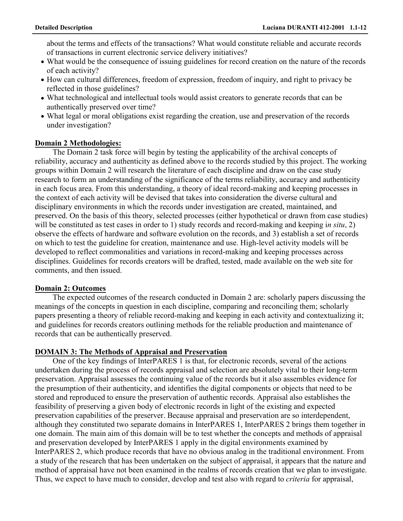about the terms and effects of the transactions? What would constitute reliable and accurate records of transactions in current electronic service delivery initiatives?

- What would be the consequence of issuing guidelines for record creation on the nature of the records of each activity?
- How can cultural differences, freedom of expression, freedom of inquiry, and right to privacy be reflected in those guidelines?
- What technological and intellectual tools would assist creators to generate records that can be authentically preserved over time?
- What legal or moral obligations exist regarding the creation, use and preservation of the records under investigation?

### **Domain 2 Methodologies:**

The Domain 2 task force will begin by testing the applicability of the archival concepts of reliability, accuracy and authenticity as defined above to the records studied by this project. The working groups within Domain 2 will research the literature of each discipline and draw on the case study research to form an understanding of the significance of the terms reliability, accuracy and authenticity in each focus area. From this understanding, a theory of ideal record-making and keeping processes in the context of each activity will be devised that takes into consideration the diverse cultural and disciplinary environments in which the records under investigation are created, maintained, and preserved. On the basis of this theory, selected processes (either hypothetical or drawn from case studies) will be constituted as test cases in order to 1) study records and record-making and keeping i*n situ*, 2) observe the effects of hardware and software evolution on the records, and 3) establish a set of records on which to test the guideline for creation, maintenance and use. High-level activity models will be developed to reflect commonalities and variations in record-making and keeping processes across disciplines. Guidelines for records creators will be drafted, tested, made available on the web site for comments, and then issued.

### **Domain 2: Outcomes**

The expected outcomes of the research conducted in Domain 2 are: scholarly papers discussing the meanings of the concepts in question in each discipline, comparing and reconciling them; scholarly papers presenting a theory of reliable record-making and keeping in each activity and contextualizing it; and guidelines for records creators outlining methods for the reliable production and maintenance of records that can be authentically preserved.

## **DOMAIN 3: The Methods of Appraisal and Preservation**

One of the key findings of InterPARES 1 is that, for electronic records, several of the actions undertaken during the process of records appraisal and selection are absolutely vital to their long-term preservation. Appraisal assesses the continuing value of the records but it also assembles evidence for the presumption of their authenticity, and identifies the digital components or objects that need to be stored and reproduced to ensure the preservation of authentic records. Appraisal also establishes the feasibility of preserving a given body of electronic records in light of the existing and expected preservation capabilities of the preserver. Because appraisal and preservation are so interdependent, although they constituted two separate domains in InterPARES 1, InterPARES 2 brings them together in one domain. The main aim of this domain will be to test whether the concepts and methods of appraisal and preservation developed by InterPARES 1 apply in the digital environments examined by InterPARES 2, which produce records that have no obvious analog in the traditional environment. From a study of the research that has been undertaken on the subject of appraisal, it appears that the nature and method of appraisal have not been examined in the realms of records creation that we plan to investigate. Thus, we expect to have much to consider, develop and test also with regard to *criteria* for appraisal,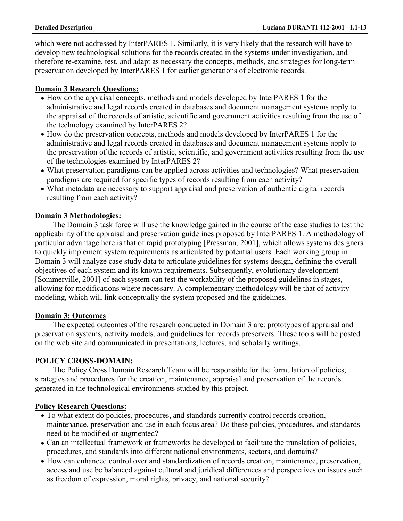which were not addressed by InterPARES 1. Similarly, it is very likely that the research will have to develop new technological solutions for the records created in the systems under investigation, and therefore re-examine, test, and adapt as necessary the concepts, methods, and strategies for long-term preservation developed by InterPARES 1 for earlier generations of electronic records.

# **Domain 3 Research Questions:**

- How do the appraisal concepts, methods and models developed by InterPARES 1 for the administrative and legal records created in databases and document management systems apply to the appraisal of the records of artistic, scientific and government activities resulting from the use of the technology examined by InterPARES 2?
- How do the preservation concepts, methods and models developed by InterPARES 1 for the administrative and legal records created in databases and document management systems apply to the preservation of the records of artistic, scientific, and government activities resulting from the use of the technologies examined by InterPARES 2?
- What preservation paradigms can be applied across activities and technologies? What preservation paradigms are required for specific types of records resulting from each activity?
- What metadata are necessary to support appraisal and preservation of authentic digital records resulting from each activity?

# **Domain 3 Methodologies:**

The Domain 3 task force will use the knowledge gained in the course of the case studies to test the applicability of the appraisal and preservation guidelines proposed by InterPARES 1. A methodology of particular advantage here is that of rapid prototyping [Pressman, 2001], which allows systems designers to quickly implement system requirements as articulated by potential users. Each working group in Domain 3 will analyze case study data to articulate guidelines for systems design, defining the overall objectives of each system and its known requirements. Subsequently, evolutionary development [Sommerville, 2001] of each system can test the workability of the proposed guidelines in stages, allowing for modifications where necessary. A complementary methodology will be that of activity modeling, which will link conceptually the system proposed and the guidelines.

# **Domain 3: Outcomes**

The expected outcomes of the research conducted in Domain 3 are: prototypes of appraisal and preservation systems, activity models, and guidelines for records preservers. These tools will be posted on the web site and communicated in presentations, lectures, and scholarly writings.

# **POLICY CROSS-DOMAIN:**

The Policy Cross Domain Research Team will be responsible for the formulation of policies, strategies and procedures for the creation, maintenance, appraisal and preservation of the records generated in the technological environments studied by this project.

# **Policy Research Questions:**

- To what extent do policies, procedures, and standards currently control records creation, maintenance, preservation and use in each focus area? Do these policies, procedures, and standards need to be modified or augmented?
- Can an intellectual framework or frameworks be developed to facilitate the translation of policies, procedures, and standards into different national environments, sectors, and domains?
- How can enhanced control over and standardization of records creation, maintenance, preservation, access and use be balanced against cultural and juridical differences and perspectives on issues such as freedom of expression, moral rights, privacy, and national security?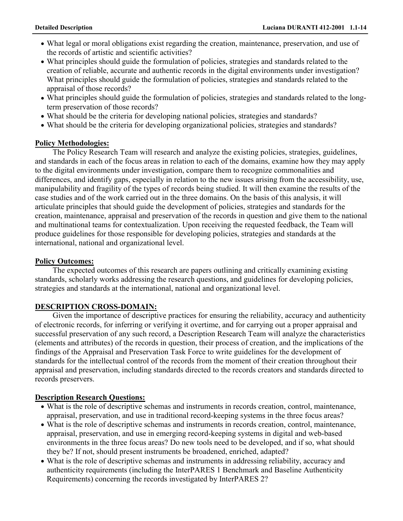- What legal or moral obligations exist regarding the creation, maintenance, preservation, and use of the records of artistic and scientific activities?
- What principles should guide the formulation of policies, strategies and standards related to the creation of reliable, accurate and authentic records in the digital environments under investigation? What principles should guide the formulation of policies, strategies and standards related to the appraisal of those records?
- What principles should guide the formulation of policies, strategies and standards related to the longterm preservation of those records?
- What should be the criteria for developing national policies, strategies and standards?
- What should be the criteria for developing organizational policies, strategies and standards?

## **Policy Methodologies:**

The Policy Research Team will research and analyze the existing policies, strategies, guidelines, and standards in each of the focus areas in relation to each of the domains, examine how they may apply to the digital environments under investigation, compare them to recognize commonalities and differences, and identify gaps, especially in relation to the new issues arising from the accessibility, use, manipulability and fragility of the types of records being studied. It will then examine the results of the case studies and of the work carried out in the three domains. On the basis of this analysis, it will articulate principles that should guide the development of policies, strategies and standards for the creation, maintenance, appraisal and preservation of the records in question and give them to the national and multinational teams for contextualization. Upon receiving the requested feedback, the Team will produce guidelines for those responsible for developing policies, strategies and standards at the international, national and organizational level.

## **Policy Outcomes:**

The expected outcomes of this research are papers outlining and critically examining existing standards, scholarly works addressing the research questions, and guidelines for developing policies, strategies and standards at the international, national and organizational level.

## **DESCRIPTION CROSS-DOMAIN:**

Given the importance of descriptive practices for ensuring the reliability, accuracy and authenticity of electronic records, for inferring or verifying it overtime, and for carrying out a proper appraisal and successful preservation of any such record, a Description Research Team will analyze the characteristics (elements and attributes) of the records in question, their process of creation, and the implications of the findings of the Appraisal and Preservation Task Force to write guidelines for the development of standards for the intellectual control of the records from the moment of their creation throughout their appraisal and preservation, including standards directed to the records creators and standards directed to records preservers.

## **Description Research Questions:**

- What is the role of descriptive schemas and instruments in records creation, control, maintenance, appraisal, preservation, and use in traditional record-keeping systems in the three focus areas?
- What is the role of descriptive schemas and instruments in records creation, control, maintenance, appraisal, preservation, and use in emerging record-keeping systems in digital and web-based environments in the three focus areas? Do new tools need to be developed, and if so, what should they be? If not, should present instruments be broadened, enriched, adapted?
- What is the role of descriptive schemas and instruments in addressing reliability, accuracy and authenticity requirements (including the InterPARES 1 Benchmark and Baseline Authenticity Requirements) concerning the records investigated by InterPARES 2?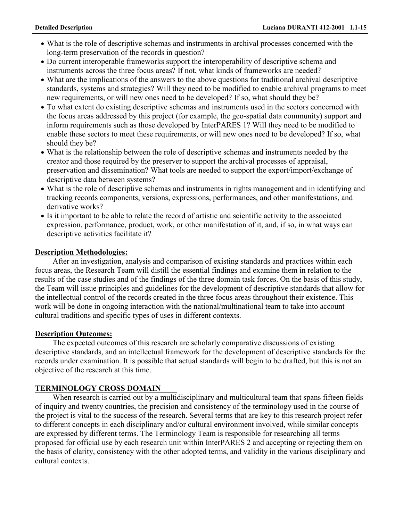- What is the role of descriptive schemas and instruments in archival processes concerned with the long-term preservation of the records in question?
- Do current interoperable frameworks support the interoperability of descriptive schema and instruments across the three focus areas? If not, what kinds of frameworks are needed?
- What are the implications of the answers to the above questions for traditional archival descriptive standards, systems and strategies? Will they need to be modified to enable archival programs to meet new requirements, or will new ones need to be developed? If so, what should they be?
- To what extent do existing descriptive schemas and instruments used in the sectors concerned with the focus areas addressed by this project (for example, the geo-spatial data community) support and inform requirements such as those developed by InterPARES 1? Will they need to be modified to enable these sectors to meet these requirements, or will new ones need to be developed? If so, what should they be?
- What is the relationship between the role of descriptive schemas and instruments needed by the creator and those required by the preserver to support the archival processes of appraisal, preservation and dissemination? What tools are needed to support the export/import/exchange of descriptive data between systems?
- What is the role of descriptive schemas and instruments in rights management and in identifying and tracking records components, versions, expressions, performances, and other manifestations, and derivative works?
- Is it important to be able to relate the record of artistic and scientific activity to the associated expression, performance, product, work, or other manifestation of it, and, if so, in what ways can descriptive activities facilitate it?

## **Description Methodologies:**

After an investigation, analysis and comparison of existing standards and practices within each focus areas, the Research Team will distill the essential findings and examine them in relation to the results of the case studies and of the findings of the three domain task forces. On the basis of this study, the Team will issue principles and guidelines for the development of descriptive standards that allow for the intellectual control of the records created in the three focus areas throughout their existence. This work will be done in ongoing interaction with the national/multinational team to take into account cultural traditions and specific types of uses in different contexts.

## **Description Outcomes:**

The expected outcomes of this research are scholarly comparative discussions of existing descriptive standards, and an intellectual framework for the development of descriptive standards for the records under examination. It is possible that actual standards will begin to be drafted, but this is not an objective of the research at this time.

# **TERMINOLOGY CROSS DOMAIN**

When research is carried out by a multidisciplinary and multicultural team that spans fifteen fields of inquiry and twenty countries, the precision and consistency of the terminology used in the course of the project is vital to the success of the research. Several terms that are key to this research project refer to different concepts in each disciplinary and/or cultural environment involved, while similar concepts are expressed by different terms. The Terminology Team is responsible for researching all terms proposed for official use by each research unit within InterPARES 2 and accepting or rejecting them on the basis of clarity, consistency with the other adopted terms, and validity in the various disciplinary and cultural contexts.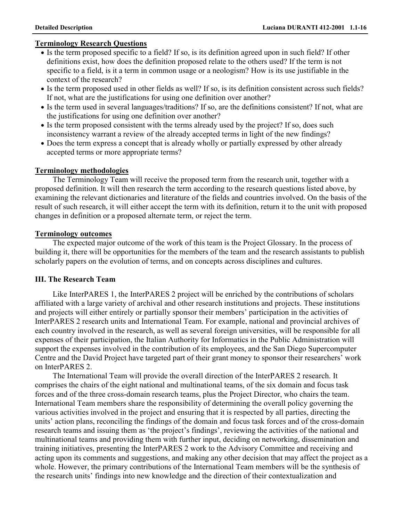## **Terminology Research Questions**

- Is the term proposed specific to a field? If so, is its definition agreed upon in such field? If other definitions exist, how does the definition proposed relate to the others used? If the term is not specific to a field, is it a term in common usage or a neologism? How is its use justifiable in the context of the research?
- Is the term proposed used in other fields as well? If so, is its definition consistent across such fields? If not, what are the justifications for using one definition over another?
- Is the term used in several languages/traditions? If so, are the definitions consistent? If not, what are the justifications for using one definition over another?
- Is the term proposed consistent with the terms already used by the project? If so, does such inconsistency warrant a review of the already accepted terms in light of the new findings?
- Does the term express a concept that is already wholly or partially expressed by other already accepted terms or more appropriate terms?

## **Terminology methodologies**

The Terminology Team will receive the proposed term from the research unit, together with a proposed definition. It will then research the term according to the research questions listed above, by examining the relevant dictionaries and literature of the fields and countries involved. On the basis of the result of such research, it will either accept the term with its definition, return it to the unit with proposed changes in definition or a proposed alternate term, or reject the term.

## **Terminology outcomes**

The expected major outcome of the work of this team is the Project Glossary. In the process of building it, there will be opportunities for the members of the team and the research assistants to publish scholarly papers on the evolution of terms, and on concepts across disciplines and cultures.

# **III. The Research Team**

Like InterPARES 1, the InterPARES 2 project will be enriched by the contributions of scholars affiliated with a large variety of archival and other research institutions and projects. These institutions and projects will either entirely or partially sponsor their members' participation in the activities of InterPARES 2 research units and International Team. For example, national and provincial archives of each country involved in the research, as well as several foreign universities, will be responsible for all expenses of their participation, the Italian Authority for Informatics in the Public Administration will support the expenses involved in the contribution of its employees, and the San Diego Supercomputer Centre and the David Project have targeted part of their grant money to sponsor their researchers' work on InterPARES 2.

The International Team will provide the overall direction of the InterPARES 2 research. It comprises the chairs of the eight national and multinational teams, of the six domain and focus task forces and of the three cross-domain research teams, plus the Project Director, who chairs the team. International Team members share the responsibility of determining the overall policy governing the various activities involved in the project and ensuring that it is respected by all parties, directing the units' action plans, reconciling the findings of the domain and focus task forces and of the cross-domain research teams and issuing them as 'the project's findings', reviewing the activities of the national and multinational teams and providing them with further input, deciding on networking, dissemination and training initiatives, presenting the InterPARES 2 work to the Advisory Committee and receiving and acting upon its comments and suggestions, and making any other decision that may affect the project as a whole. However, the primary contributions of the International Team members will be the synthesis of the research units' findings into new knowledge and the direction of their contextualization and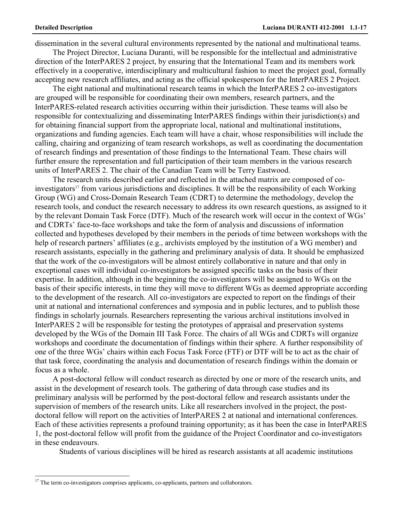dissemination in the several cultural environments represented by the national and multinational teams.

The Project Director, Luciana Duranti, will be responsible for the intellectual and administrative direction of the InterPARES 2 project, by ensuring that the International Team and its members work effectively in a cooperative, interdisciplinary and multicultural fashion to meet the project goal, formally accepting new research affiliates, and acting as the official spokesperson for the InterPARES 2 Project.

The eight national and multinational research teams in which the InterPARES 2 co-investigators are grouped will be responsible for coordinating their own members, research partners, and the InterPARES-related research activities occurring within their jurisdiction. These teams will also be responsible for contextualizing and disseminating InterPARES findings within their jurisdiction(s) and for obtaining financial support from the appropriate local, national and multinational institutions, organizations and funding agencies. Each team will have a chair, whose responsibilities will include the calling, chairing and organizing of team research workshops, as well as coordinating the documentation of research findings and presentation of those findings to the International Team. These chairs will further ensure the representation and full participation of their team members in the various research units of InterPARES 2. The chair of the Canadian Team will be Terry Eastwood.

The research units described earlier and reflected in the attached matrix are composed of coinvestigators<sup>17</sup> from various jurisdictions and disciplines. It will be the responsibility of each Working Group (WG) and Cross-Domain Research Team (CDRT) to determine the methodology, develop the research tools, and conduct the research necessary to address its own research questions, as assigned to it by the relevant Domain Task Force (DTF). Much of the research work will occur in the context of WGs' and CDRTs' face-to-face workshops and take the form of analysis and discussions of information collected and hypotheses developed by their members in the periods of time between workshops with the help of research partners' affiliates (e.g., archivists employed by the institution of a WG member) and research assistants, especially in the gathering and preliminary analysis of data. It should be emphasized that the work of the co-investigators will be almost entirely collaborative in nature and that only in exceptional cases will individual co-investigators be assigned specific tasks on the basis of their expertise. In addition, although in the beginning the co-investigators will be assigned to WGs on the basis of their specific interests, in time they will move to different WGs as deemed appropriate according to the development of the research. All co-investigators are expected to report on the findings of their unit at national and international conferences and symposia and in public lectures, and to publish those findings in scholarly journals. Researchers representing the various archival institutions involved in InterPARES 2 will be responsible for testing the prototypes of appraisal and preservation systems developed by the WGs of the Domain III Task Force. The chairs of all WGs and CDRTs will organize workshops and coordinate the documentation of findings within their sphere. A further responsibility of one of the three WGs' chairs within each Focus Task Force (FTF) or DTF will be to act as the chair of that task force, coordinating the analysis and documentation of research findings within the domain or focus as a whole.

A post-doctoral fellow will conduct research as directed by one or more of the research units, and assist in the development of research tools. The gathering of data through case studies and its preliminary analysis will be performed by the post-doctoral fellow and research assistants under the supervision of members of the research units. Like all researchers involved in the project, the postdoctoral fellow will report on the activities of InterPARES 2 at national and international conferences. Each of these activities represents a profound training opportunity; as it has been the case in InterPARES 1, the post-doctoral fellow will profit from the guidance of the Project Coordinator and co-investigators in these endeavours.

Students of various disciplines will be hired as research assistants at all academic institutions

 $17$  The term co-investigators comprises applicants, co-applicants, partners and collaborators.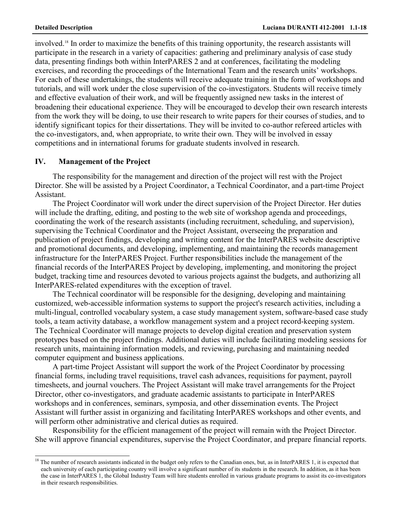involved.18 In order to maximize the benefits of this training opportunity, the research assistants will participate in the research in a variety of capacities: gathering and preliminary analysis of case study data, presenting findings both within InterPARES 2 and at conferences, facilitating the modeling exercises, and recording the proceedings of the International Team and the research units' workshops. For each of these undertakings, the students will receive adequate training in the form of workshops and tutorials, and will work under the close supervision of the co-investigators. Students will receive timely and effective evaluation of their work, and will be frequently assigned new tasks in the interest of broadening their educational experience. They will be encouraged to develop their own research interests from the work they will be doing, to use their research to write papers for their courses of studies, and to identify significant topics for their dissertations. They will be invited to co-author refereed articles with the co-investigators, and, when appropriate, to write their own. They will be involved in essay competitions and in international forums for graduate students involved in research.

### **IV. Management of the Project**

The responsibility for the management and direction of the project will rest with the Project Director. She will be assisted by a Project Coordinator, a Technical Coordinator, and a part-time Project Assistant.

The Project Coordinator will work under the direct supervision of the Project Director. Her duties will include the drafting, editing, and posting to the web site of workshop agenda and proceedings, coordinating the work of the research assistants (including recruitment, scheduling, and supervision), supervising the Technical Coordinator and the Project Assistant, overseeing the preparation and publication of project findings, developing and writing content for the InterPARES website descriptive and promotional documents, and developing, implementing, and maintaining the records management infrastructure for the InterPARES Project. Further responsibilities include the management of the financial records of the InterPARES Project by developing, implementing, and monitoring the project budget, tracking time and resources devoted to various projects against the budgets, and authorizing all InterPARES-related expenditures with the exception of travel.

The Technical coordinator will be responsible for the designing, developing and maintaining customized, web-accessible information systems to support the project's research activities, including a multi-lingual, controlled vocabulary system, a case study management system, software-based case study tools, a team activity database, a workflow management system and a project record-keeping system. The Technical Coordinator will manage projects to develop digital creation and preservation system prototypes based on the project findings. Additional duties will include facilitating modeling sessions for research units, maintaining information models, and reviewing, purchasing and maintaining needed computer equipment and business applications.

A part-time Project Assistant will support the work of the Project Coordinator by processing financial forms, including travel requisitions, travel cash advances, requisitions for payment, payroll timesheets, and journal vouchers. The Project Assistant will make travel arrangements for the Project Director, other co-investigators, and graduate academic assistants to participate in InterPARES workshops and in conferences, seminars, symposia, and other dissemination events. The Project Assistant will further assist in organizing and facilitating InterPARES workshops and other events, and will perform other administrative and clerical duties as required.

Responsibility for the efficient management of the project will remain with the Project Director. She will approve financial expenditures, supervise the Project Coordinator, and prepare financial reports.

 $18$  The number of research assistants indicated in the budget only refers to the Canadian ones, but, as in InterPARES 1, it is expected that each university of each participating country will involve a significant number of its students in the research. In addition, as it has been the case in InterPARES 1, the Global Industry Team will hire students enrolled in various graduate programs to assist its co-investigators in their research responsibilities.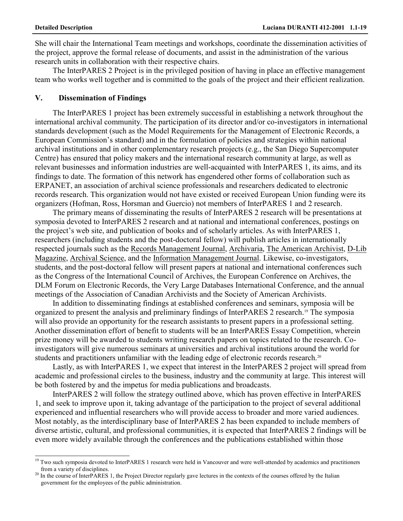She will chair the International Team meetings and workshops, coordinate the dissemination activities of the project, approve the formal release of documents, and assist in the administration of the various research units in collaboration with their respective chairs.

The InterPARES 2 Project is in the privileged position of having in place an effective management team who works well together and is committed to the goals of the project and their efficient realization.

### **V. Dissemination of Findings**

The InterPARES 1 project has been extremely successful in establishing a network throughout the international archival community. The participation of its director and/or co-investigators in international standards development (such as the Model Requirements for the Management of Electronic Records, a European Commission's standard) and in the formulation of policies and strategies within national archival institutions and in other complementary research projects (e.g., the San Diego Supercomputer Centre) has ensured that policy makers and the international research community at large, as well as relevant businesses and information industries are well-acquainted with InterPARES 1, its aims, and its findings to date. The formation of this network has engendered other forms of collaboration such as ERPANET, an association of archival science professionals and researchers dedicated to electronic records research. This organization would not have existed or received European Union funding were its organizers (Hofman, Ross, Horsman and Guercio) not members of InterPARES 1 and 2 research.

The primary means of disseminating the results of InterPARES 2 research will be presentations at symposia devoted to InterPARES 2 research and at national and international conferences, postings on the project's web site, and publication of books and of scholarly articles. As with InterPARES 1, researchers (including students and the post-doctoral fellow) will publish articles in internationally respected journals such as the Records Management Journal, Archivaria, The American Archivist, D-Lib Magazine, Archival Science, and the Information Management Journal. Likewise, co-investigators, students, and the post-doctoral fellow will present papers at national and international conferences such as the Congress of the International Council of Archives, the European Conference on Archives, the DLM Forum on Electronic Records, the Very Large Databases International Conference, and the annual meetings of the Association of Canadian Archivists and the Society of American Archivists.

In addition to disseminating findings at established conferences and seminars, symposia will be organized to present the analysis and preliminary findings of InterPARES 2 research.<sup>19</sup> The symposia will also provide an opportunity for the research assistants to present papers in a professional setting. Another dissemination effort of benefit to students will be an InterPARES Essay Competition, wherein prize money will be awarded to students writing research papers on topics related to the research. Coinvestigators will give numerous seminars at universities and archival institutions around the world for students and practitioners unfamiliar with the leading edge of electronic records research.<sup>20</sup>

Lastly, as with InterPARES 1, we expect that interest in the InterPARES 2 project will spread from academic and professional circles to the business, industry and the community at large. This interest will be both fostered by and the impetus for media publications and broadcasts.

InterPARES 2 will follow the strategy outlined above, which has proven effective in InterPARES 1, and seek to improve upon it, taking advantage of the participation to the project of several additional experienced and influential researchers who will provide access to broader and more varied audiences. Most notably, as the interdisciplinary base of InterPARES 2 has been expanded to include members of diverse artistic, cultural, and professional communities, it is expected that InterPARES 2 findings will be even more widely available through the conferences and the publications established within those

<sup>&</sup>lt;sup>19</sup> Two such symposia devoted to InterPARES 1 research were held in Vancouver and were well-attended by academics and practitioners

from a variety of disciplines.<br><sup>20</sup> In the course of InterPARES 1, the Project Director regularly gave lectures in the contexts of the courses offered by the Italian government for the employees of the public administration.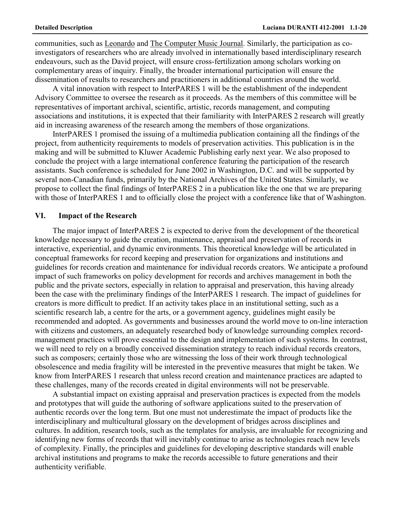communities, such as Leonardo and The Computer Music Journal. Similarly, the participation as coinvestigators of researchers who are already involved in internationally based interdisciplinary research endeavours, such as the David project, will ensure cross-fertilization among scholars working on complementary areas of inquiry. Finally, the broader international participation will ensure the dissemination of results to researchers and practitioners in additional countries around the world.

A vital innovation with respect to InterPARES 1 will be the establishment of the independent Advisory Committee to oversee the research as it proceeds. As the members of this committee will be representatives of important archival, scientific, artistic, records management, and computing associations and institutions, it is expected that their familiarity with InterPARES 2 research will greatly aid in increasing awareness of the research among the members of those organizations.

InterPARES 1 promised the issuing of a multimedia publication containing all the findings of the project, from authenticity requirements to models of preservation activities. This publication is in the making and will be submitted to Kluwer Academic Publishing early next year. We also proposed to conclude the project with a large international conference featuring the participation of the research assistants. Such conference is scheduled for June 2002 in Washington, D.C. and will be supported by several non-Canadian funds, primarily by the National Archives of the United States. Similarly, we propose to collect the final findings of InterPARES 2 in a publication like the one that we are preparing with those of InterPARES 1 and to officially close the project with a conference like that of Washington.

### **VI. Impact of the Research**

The major impact of InterPARES 2 is expected to derive from the development of the theoretical knowledge necessary to guide the creation, maintenance, appraisal and preservation of records in interactive, experiential, and dynamic environments. This theoretical knowledge will be articulated in conceptual frameworks for record keeping and preservation for organizations and institutions and guidelines for records creation and maintenance for individual records creators. We anticipate a profound impact of such frameworks on policy development for records and archives management in both the public and the private sectors, especially in relation to appraisal and preservation, this having already been the case with the preliminary findings of the InterPARES 1 research. The impact of guidelines for creators is more difficult to predict. If an activity takes place in an institutional setting, such as a scientific research lab, a centre for the arts, or a government agency, guidelines might easily be recommended and adopted. As governments and businesses around the world move to on-line interaction with citizens and customers, an adequately researched body of knowledge surrounding complex recordmanagement practices will prove essential to the design and implementation of such systems. In contrast, we will need to rely on a broadly conceived dissemination strategy to reach individual records creators, such as composers; certainly those who are witnessing the loss of their work through technological obsolescence and media fragility will be interested in the preventive measures that might be taken. We know from InterPARES 1 research that unless record creation and maintenance practices are adapted to these challenges, many of the records created in digital environments will not be preservable.

A substantial impact on existing appraisal and preservation practices is expected from the models and prototypes that will guide the authoring of software applications suited to the preservation of authentic records over the long term. But one must not underestimate the impact of products like the interdisciplinary and multicultural glossary on the development of bridges across disciplines and cultures. In addition, research tools, such as the templates for analysis, are invaluable for recognizing and identifying new forms of records that will inevitably continue to arise as technologies reach new levels of complexity. Finally, the principles and guidelines for developing descriptive standards will enable archival institutions and programs to make the records accessible to future generations and their authenticity verifiable.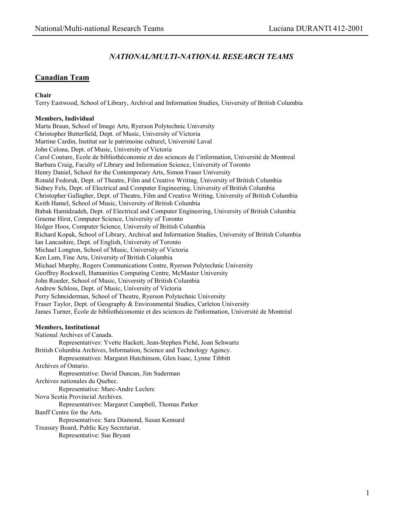# *NATIONAL/MULTI-NATIONAL RESEARCH TEAMS*

## **Canadian Team**

### **Chair**

Terry Eastwood, School of Library, Archival and Information Studies, University of British Columbia

#### **Members, Individual**

Marta Braun, School of Image Arts, Ryerson Polytechnic University Christopher Butterfield, Dept. of Music, University of Victoria Martine Cardin, Institut sur le patrimoine culturel, Université Laval John Celona, Dept. of Music, University of Victoria Carol Couture, Ecole de bibliothéconomie et des sciences de l'information, Université de Montreal Barbara Craig, Faculty of Library and Information Science, University of Toronto Henry Daniel, School for the Contemporary Arts, Simon Fraser University Ronald Fedoruk, Dept. of Theatre, Film and Creative Writing, University of British Columbia Sidney Fels, Dept. of Electrical and Computer Engineering, University of British Columbia Christopher Gallagher, Dept. of Theatre, Film and Creative Writing, University of British Columbia Keith Hamel, School of Music, University of British Columbia Babak Hamidzadeh, Dept. of Electrical and Computer Engineering, University of British Columbia Graeme Hirst, Computer Science, University of Toronto Holger Hoos, Computer Science, University of British Columbia Richard Kopak, School of Library, Archival and Information Studies, University of British Columbia Ian Lancashire, Dept. of English, University of Toronto Michael Longton, School of Music, University of Victoria Ken Lum, Fine Arts, University of British Columbia Michael Murphy, Rogers Communications Centre, Ryerson Polytechnic University Geoffrey Rockwell, Humanities Computing Centre, McMaster University John Roeder, School of Music, University of British Columbia Andrew Schloss, Dept. of Music, University of Victoria Perry Schneiderman, School of Theatre, Ryerson Polytechnic University Fraser Taylor, Dept. of Geography & Environmental Studies, Carleton University James Turner, École de bibliothéconomie et des sciences de l'information, Université de Montréal

#### **Members, Institutional**

National Archives of Canada. Representatives: Yvette Hackett, Jean-Stephen Piché, Joan Schwartz British Columbia Archives, Information, Science and Technology Agency. Representatives: Margaret Hutchinson, Glen Isaac, Lynne Tibbitt Archives of Ontario. Representative: David Duncan, Jim Suderman Archives nationales du Quebec. Representative: Marc-Andre Leclerc Nova Scotia Provincial Archives. Representatives: Margaret Campbell, Thomas Parker Banff Centre for the Arts. Representatives: Sara Diamond, Susan Kennard Treasury Board, Public Key Secretariat. Representative: Sue Bryant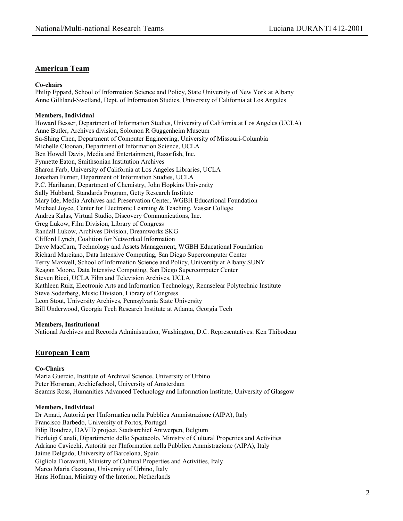## **American Team**

#### **Co-chairs**

Philip Eppard, School of Information Science and Policy, State University of New York at Albany Anne Gilliland-Swetland, Dept. of Information Studies, University of California at Los Angeles

#### **Members, Individual**

Howard Besser, Department of Information Studies, University of California at Los Angeles (UCLA) Anne Butler, Archives division, Solomon R Guggenheim Museum Su-Shing Chen, Department of Computer Engineering, University of Missouri-Columbia Michelle Cloonan, Department of Information Science, UCLA Ben Howell Davis, Media and Entertainment, Razorfish, Inc. Fynnette Eaton, Smithsonian Institution Archives Sharon Farb, University of California at Los Angeles Libraries, UCLA Jonathan Furner, Department of Information Studies, UCLA P.C. Hariharan, Department of Chemistry, John Hopkins University Sally Hubbard, Standards Program, Getty Research Institute Mary Ide, Media Archives and Preservation Center, WGBH Educational Foundation Michael Joyce, Center for Electronic Learning & Teaching, Vassar College Andrea Kalas, Virtual Studio, Discovery Communications, Inc. Greg Lukow, Film Division, Library of Congress Randall Lukow, Archives Division, Dreamworks SKG Clifford Lynch, Coalition for Networked Information Dave MacCarn, Technology and Assets Management, WGBH Educational Foundation Richard Marciano, Data Intensive Computing, San Diego Supercomputer Center Terry Maxwell, School of Information Science and Policy, University at Albany SUNY Reagan Moore, Data Intensive Computing, San Diego Supercomputer Center Steven Ricci, UCLA Film and Television Archives, UCLA Kathleen Ruiz, Electronic Arts and Information Technology, Rennselear Polytechnic Institute Steve Soderberg, Music Division, Library of Congress Leon Stout, University Archives, Pennsylvania State University Bill Underwood, Georgia Tech Research Institute at Atlanta, Georgia Tech

#### **Members, Institutional**

National Archives and Records Administration, Washington, D.C. Representatives: Ken Thibodeau

## **European Team**

#### **Co-Chairs**

Maria Guercio, Institute of Archival Science, University of Urbino Peter Horsman, Archiefschool, University of Amsterdam Seamus Ross, Humanities Advanced Technology and Information Institute, University of Glasgow

#### **Members, Individual**

Dr Amati, Autorità per l'Informatica nella Pubblica Ammistrazione (AIPA), Italy Francisco Barbedo, University of Portos, Portugal Filip Boudrez, DAVID project, Stadsarchief Antwerpen, Belgium Pierluigi Canali, Dipartimento dello Spettacolo, Ministry of Cultural Properties and Activities Adriano Cavicchi, Autorità per l'Informatica nella Pubblica Ammistrazione (AIPA), Italy Jaime Delgado, University of Barcelona, Spain Gigliola Fioravanti, Ministry of Cultural Properties and Activities, Italy Marco Maria Gazzano, University of Urbino, Italy Hans Hofman, Ministry of the Interior, Netherlands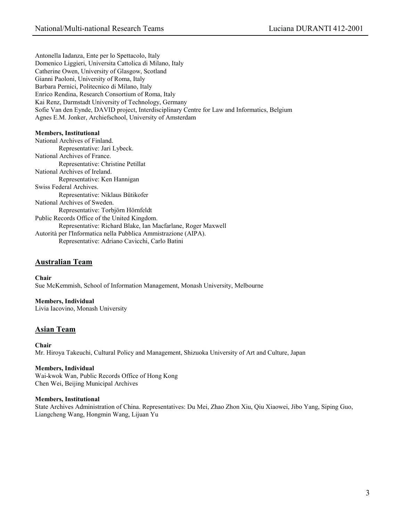Antonella Iadanza, Ente per lo Spettacolo, Italy Domenico Liggieri, Universita Cattolica di Milano, Italy Catherine Owen, University of Glasgow, Scotland Gianni Paoloni, University of Roma, Italy Barbara Pernici, Politecnico di Milano, Italy Enrico Rendina, Research Consortium of Roma, Italy Kai Renz, Darmstadt University of Technology, Germany Sofie Van den Eynde, DAVID project, Interdisciplinary Centre for Law and Informatics, Belgium Agnes E.M. Jonker, Archiefschool, University of Amsterdam

#### **Members, Institutional**

National Archives of Finland. Representative: Jari Lybeck. National Archives of France. Representative: Christine Petillat National Archives of Ireland. Representative: Ken Hannigan Swiss Federal Archives. Representative: Niklaus Bütikofer National Archives of Sweden. Representative: Torbjörn Hörnfeldt Public Records Office of the United Kingdom. Representative: Richard Blake, Ian Macfarlane, Roger Maxwell Autorità per l'Informatica nella Pubblica Ammistrazione (AIPA). Representative: Adriano Cavicchi, Carlo Batini

### **Australian Team**

**Chair**  Sue McKemmish, School of Information Management, Monash University, Melbourne

**Members, Individual**  Livia Iacovino, Monash University

## **Asian Team**

**Chair**  Mr. Hiroya Takeuchi, Cultural Policy and Management, Shizuoka University of Art and Culture, Japan

#### **Members, Individual**

Wai-kwok Wan, Public Records Office of Hong Kong Chen Wei, Beijing Municipal Archives

#### **Members, Institutional**

State Archives Administration of China. Representatives: Du Mei, Zhao Zhon Xiu, Qiu Xiaowei, Jibo Yang, Siping Guo, Liangcheng Wang, Hongmin Wang, Lijuan Yu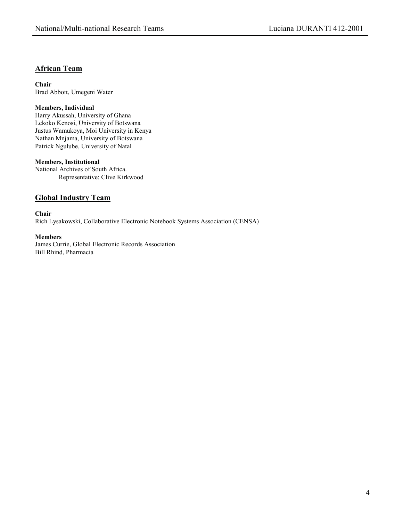## **African Team**

**Chair**  Brad Abbott, Umegeni Water

### **Members, Individual**

Harry Akussah, University of Ghana Lekoko Kenosi, University of Botswana Justus Wamukoya, Moi University in Kenya Nathan Mnjama, University of Botswana Patrick Ngulube, University of Natal

#### **Members, Institutional**

National Archives of South Africa. Representative: Clive Kirkwood

# **Global Industry Team**

**Chair**  Rich Lysakowski, Collaborative Electronic Notebook Systems Association (CENSA)

### **Members**

James Currie, Global Electronic Records Association Bill Rhind, Pharmacia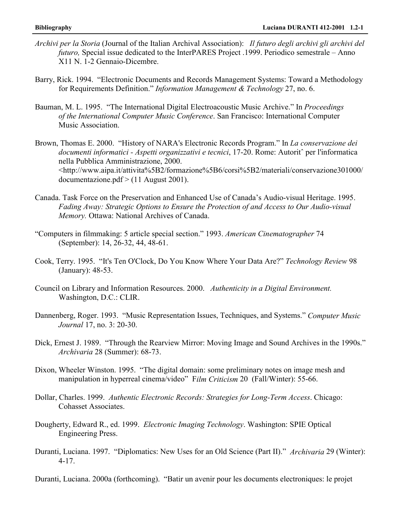- *Archivi per la Storia* (Journal of the Italian Archival Association): *Il futuro degli archivi gli archivi del futuro,* Special issue dedicated to the InterPARES Project .1999. Periodico semestrale – Anno X11 N. 1-2 Gennaio-Dicembre.
- Barry, Rick. 1994. "Electronic Documents and Records Management Systems: Toward a Methodology for Requirements Definition." *Information Management & Technology* 27, no. 6.
- Bauman, M. L. 1995. "The International Digital Electroacoustic Music Archive." In *Proceedings of the International Computer Music Conference*. San Francisco: International Computer Music Association.
- Brown, Thomas E. 2000. "History of NARA's Electronic Records Program." In *La conservazione dei documenti informatici - Aspetti organizzativi e tecnici*, 17-20. Rome: Autoritˆ per l'informatica nella Pubblica Amministrazione, 2000. <http://www.aipa.it/attivita%5B2/formazione%5B6/corsi%5B2/materiali/conservazione301000/ documentazione.pdf > (11 August 2001).
- Canada. Task Force on the Preservation and Enhanced Use of Canada's Audio-visual Heritage. 1995. *Fading Away: Strategic Options to Ensure the Protection of and Access to Our Audio-visual Memory.* Ottawa: National Archives of Canada.
- "Computers in filmmaking: 5 article special section." 1993. *American Cinematographer* 74 (September): 14, 26-32, 44, 48-61.
- Cook, Terry. 1995. "It's Ten O'Clock, Do You Know Where Your Data Are?" *Technology Review* 98 (January): 48-53.
- Council on Library and Information Resources. 2000. *Authenticity in a Digital Environment.*  Washington, D.C.: CLIR.
- Dannenberg, Roger. 1993. "Music Representation Issues, Techniques, and Systems." *Computer Music Journal* 17, no. 3: 20-30.
- Dick, Ernest J. 1989. "Through the Rearview Mirror: Moving Image and Sound Archives in the 1990s." *Archivaria* 28 (Summer): 68-73.
- Dixon, Wheeler Winston. 1995. "The digital domain: some preliminary notes on image mesh and manipulation in hyperreal cinema/video" F*ilm Criticism* 20 (Fall/Winter): 55-66.
- Dollar, Charles. 1999. *Authentic Electronic Records: Strategies for Long-Term Access*. Chicago: Cohasset Associates.
- Dougherty, Edward R., ed. 1999. *Electronic Imaging Technology*. Washington: SPIE Optical Engineering Press.
- Duranti, Luciana. 1997. "Diplomatics: New Uses for an Old Science (Part II)." *Archivaria* 29 (Winter): 4-17.

Duranti, Luciana. 2000a (forthcoming). "Batir un avenir pour les documents electroniques: le projet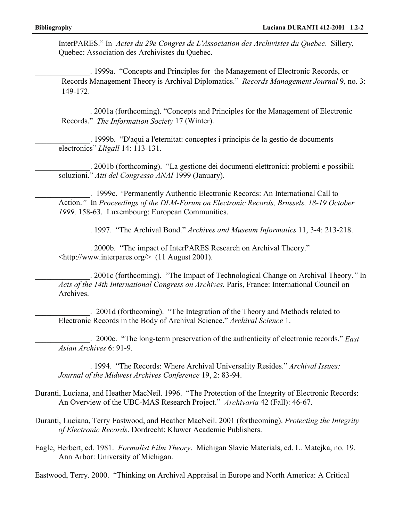InterPARES." In *Actes du 29e Congres de L'Association des Archivistes du Quebec*. Sillery, Quebec: Association des Archivistes du Quebec.

\_\_\_\_\_\_\_\_\_\_\_\_\_\_. 1999a. "Concepts and Principles for the Management of Electronic Records, or Records Management Theory is Archival Diplomatics." *Records Management Journal* 9, no. 3: 149-172.

. 2001a (forthcoming). "Concepts and Principles for the Management of Electronic Records." *The Information Society* 17 (Winter).

\_\_\_\_\_\_\_\_\_\_\_\_\_\_. 1999b. "D'aqui a l'eternitat: conceptes i principis de la gestio de documents electronics" *Lligall* 14: 113-131.

\_\_\_\_\_\_\_\_\_\_\_\_\_\_. 2001b (forthcoming). "La gestione dei documenti elettronici: problemi e possibili soluzioni." *Atti del Congresso ANAI* 1999 (January).

\_\_\_\_\_\_\_\_\_\_\_\_\_\_. 1999c. *"*Permanently Authentic Electronic Records: An International Call to Action.*"* In *Proceedings of the DLM-Forum on Electronic Records, Brussels, 18-19 October 1999,* 158-63. Luxembourg: European Communities.

\_\_\_\_\_\_\_\_\_\_\_\_\_\_. 1997. "The Archival Bond." *Archives and Museum Informatics* 11, 3-4: 213-218.

\_\_\_\_\_\_\_\_\_\_\_\_\_\_. 2000b. "The impact of InterPARES Research on Archival Theory." <http://www.interpares.org/> (11 August 2001).

\_\_\_\_\_\_\_\_\_\_\_\_\_\_. 2001c (forthcoming). "The Impact of Technological Change on Archival Theory.*"* In *Acts of the 14th International Congress on Archives.* Paris, France: International Council on Archives.

. 2001d (forthcoming). "The Integration of the Theory and Methods related to Electronic Records in the Body of Archival Science." *Archival Science* 1.

\_\_\_\_\_\_\_\_\_\_\_\_\_\_. 2000c. "The long-term preservation of the authenticity of electronic records." *East Asian Archives* 6: 91-9.

\_\_\_\_\_\_\_\_\_\_\_\_\_\_. 1994. "The Records: Where Archival Universality Resides." *Archival Issues: Journal of the Midwest Archives Conference* 19, 2: 83-94.

- Duranti, Luciana, and Heather MacNeil. 1996. "The Protection of the Integrity of Electronic Records: An Overview of the UBC-MAS Research Project." *Archivaria* 42 (Fall): 46-67.
- Duranti, Luciana, Terry Eastwood, and Heather MacNeil. 2001 (forthcoming). *Protecting the Integrity of Electronic Records*. Dordrecht: Kluwer Academic Publishers.
- Eagle, Herbert, ed. 1981. *Formalist Film Theory*. Michigan Slavic Materials, ed. L. Matejka, no. 19. Ann Arbor: University of Michigan.

Eastwood, Terry. 2000. "Thinking on Archival Appraisal in Europe and North America: A Critical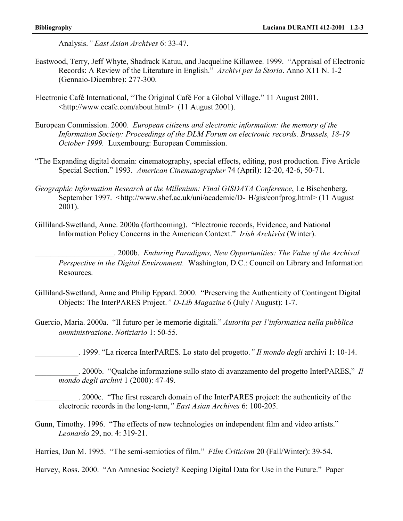Analysis.*" East Asian Archives* 6: 33-47.

- Eastwood, Terry, Jeff Whyte, Shadrack Katuu, and Jacqueline Killawee. 1999. "Appraisal of Electronic Records: A Review of the Literature in English." *Archivi per la Storia*. Anno X11 N. 1-2 (Gennaio-Dicembre): 277-300.
- Electronic Café International, "The Original Café For a Global Village." 11 August 2001. <http://www.ecafe.com/about.html> (11 August 2001).
- European Commission. 2000. *European citizens and electronic information: the memory of the Information Society: Proceedings of the DLM Forum on electronic records. Brussels, 18-19 October 1999.* Luxembourg: European Commission.
- "The Expanding digital domain: cinematography, special effects, editing, post production. Five Article Special Section." 1993. *American Cinematographer* 74 (April): 12-20, 42-6, 50-71.
- *Geographic Information Research at the Millenium: Final GISDATA Conference*, Le Bischenberg, September 1997. <http://www.shef.ac.uk/uni/academic/D- H/gis/confprog.html> (11 August) 2001).
- Gilliland-Swetland, Anne. 2000a (forthcoming). "Electronic records, Evidence, and National Information Policy Concerns in the American Context." *Irish Archivist* (Winter).

\_\_\_\_\_\_\_\_\_\_\_\_\_\_\_\_\_\_\_\_. 2000b. *Enduring Paradigms, New Opportunities: The Value of the Archival Perspective in the Digital Environment.* Washington, D.C.: Council on Library and Information Resources.

- Gilliland-Swetland, Anne and Philip Eppard. 2000. "Preserving the Authenticity of Contingent Digital Objects: The InterPARES Project.*" D-Lib Magazine* 6 (July / August): 1-7.
- Guercio, Maria. 2000a. "Il futuro per le memorie digitali." *Autorita per l'informatica nella pubblica amministrazione*. *Notiziario* 1: 50-55.

\_\_\_\_\_\_\_\_\_\_\_. 1999. "La ricerca InterPARES. Lo stato del progetto.*" Il mondo degli* archivi 1: 10-14.

\_\_\_\_\_\_\_\_\_\_\_. 2000b. "Qualche informazione sullo stato di avanzamento del progetto InterPARES," *Il mondo degli archivi* 1 (2000): 47-49.

\_\_\_\_\_\_\_\_\_\_\_. 2000c. "The first research domain of the InterPARES project: the authenticity of the electronic records in the long-term,*" East Asian Archives* 6: 100-205.

Gunn, Timothy. 1996. "The effects of new technologies on independent film and video artists." *Leonardo* 29, no. 4: 319-21.

Harries, Dan M. 1995. "The semi-semiotics of film." *Film Criticism* 20 (Fall/Winter): 39-54.

Harvey, Ross. 2000. "An Amnesiac Society? Keeping Digital Data for Use in the Future." Paper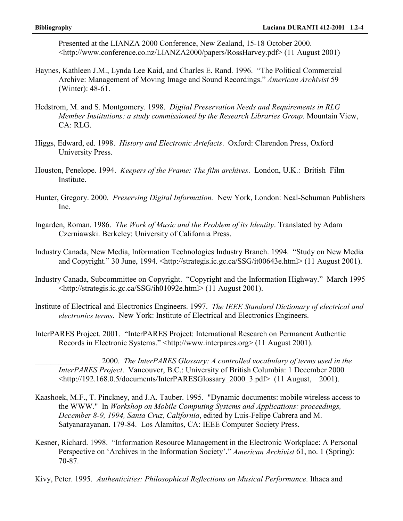Presented at the LIANZA 2000 Conference, New Zealand, 15-18 October 2000. <http://www.conference.co.nz/LIANZA2000/papers/RossHarvey.pdf> (11 August 2001)

- Haynes, Kathleen J.M., Lynda Lee Kaid, and Charles E. Rand. 1996. "The Political Commercial Archive: Management of Moving Image and Sound Recordings." *American Archivist* 59 (Winter): 48-61.
- Hedstrom, M. and S. Montgomery. 1998. *Digital Preservation Needs and Requirements in RLG Member Institutions: a study commissioned by the Research Libraries Group*. Mountain View, CA: RLG.
- Higgs, Edward, ed. 1998. *History and Electronic Artefacts*. Oxford: Clarendon Press, Oxford University Press.
- Houston, Penelope. 1994. *Keepers of the Frame: The film archives*. London, U.K.: British Film Institute.
- Hunter, Gregory. 2000. *Preserving Digital Information.* New York, London: Neal-Schuman Publishers Inc.
- Ingarden, Roman. 1986. *The Work of Music and the Problem of its Identity*. Translated by Adam Czerniawski. Berkeley: University of California Press.
- Industry Canada, New Media, Information Technologies Industry Branch. 1994. "Study on New Media and Copyright." 30 June, 1994. <http://strategis.ic.gc.ca/SSG/it00643e.html> (11 August 2001).
- Industry Canada, Subcommittee on Copyright. "Copyright and the Information Highway." March 1995 <http://strategis.ic.gc.ca/SSG/ih01092e.html> (11 August 2001).
- Institute of Electrical and Electronics Engineers. 1997. *The IEEE Standard Dictionary of electrical and electronics terms*. New York: Institute of Electrical and Electronics Engineers.
- InterPARES Project. 2001. "InterPARES Project: International Research on Permanent Authentic Records in Electronic Systems." <http://www.interpares.org> (11 August 2001).

\_\_\_\_\_\_\_\_\_\_\_\_\_\_\_\_. 2000. *The InterPARES Glossary: A controlled vocabulary of terms used in the InterPARES Project*. Vancouver, B.C.: University of British Columbia: 1 December 2000 <http://192.168.0.5/documents/InterPARESGlossary\_2000\_3.pdf> (11 August, 2001).

- Kaashoek, M.F., T. Pinckney, and J.A. Tauber. 1995. "Dynamic documents: mobile wireless access to the WWW." In *Workshop on Mobile Computing Systems and Applications: proceedings, December 8-9, 1994, Santa Cruz, California*, edited by Luis-Felipe Cabrera and M. Satyanarayanan. 179-84. Los Alamitos, CA: IEEE Computer Society Press.
- Kesner, Richard. 1998. "Information Resource Management in the Electronic Workplace: A Personal Perspective on 'Archives in the Information Society'." *American Archivist* 61, no. 1 (Spring): 70-87.
- Kivy, Peter. 1995. *Authenticities: Philosophical Reflections on Musical Performance*. Ithaca and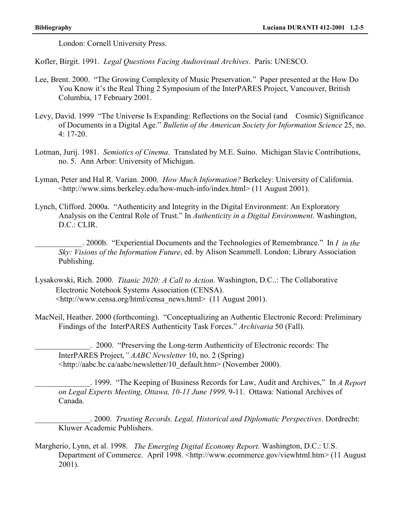London: Cornell University Press.

Kofler, Birgit. 1991. *Legal Questions Facing Audiovisual Archives*. Paris: UNESCO.

- Lee, Brent. 2000. "The Growing Complexity of Music Preservation." Paper presented at the How Do You Know it's the Real Thing 2 Symposium of the InterPARES Project, Vancouver, British Columbia, 17 February 2001.
- Levy, David. 1999 "The Universe Is Expanding: Reflections on the Social (and Cosmic) Significance of Documents in a Digital Age." *Bulletin of the American Society for Information Science* 25, no. 4: 17-20.
- Lotman, Jurij. 1981. *Semiotics of Cinema*. Translated by M.E. Suino. Michigan Slavic Contributions, no. 5. Ann Arbor: University of Michigan.
- Lyman, Peter and Hal R. Varian. 2000. *How Much Information?* Berkeley: University of California. <http://www.sims.berkeley.edu/how-much-info/index.html> (11 August 2001).
- Lynch, Clifford. 2000a. "Authenticity and Integrity in the Digital Environment: An Exploratory Analysis on the Central Role of Trust." In *Authenticity in a Digital Environment*. Washington, D.C.: CLIR.

\_\_\_\_\_\_\_\_\_\_\_\_. 2000b. "Experiential Documents and the Technologies of Remembrance." In *I in the Sky: Visions of the Information Future*, ed. by Alison Scammell. London: Library Association Publishing.

- Lysakowski, Rich. 2000. *Titanic 2020: A Call to Action*. Washington, D.C..: The Collaborative Electronic Notebook Systems Association (CENSA). <http://www.censa.org/html/censa\_news.html> (11 August 2001).
- MacNeil, Heather. 2000 (forthcoming). "Conceptualizing an Authentic Electronic Record: Preliminary Findings of the InterPARES Authenticity Task Forces." *Archivaria* 50 (Fall).

\_\_\_\_\_\_\_\_\_\_\_\_\_\_. 2000. "Preserving the Long-term Authenticity of Electronic records: The InterPARES Project,*" AABC Newsletter* 10, no. 2 (Spring) <http://aabc.bc.ca/aabc/newsletter/10\_default.htm> (November 2000).

\_\_\_\_\_\_\_\_\_\_\_\_\_\_. 1999. "The Keeping of Business Records for Law, Audit and Archives," In *A Report on Legal Experts Meeting, Ottawa, 10-11 June 1999,* 9-11. Ottawa: National Archives of Canada.

\_\_\_\_\_\_\_\_\_\_\_\_\_\_. 2000. *Trusting Records. Legal, Historical and Diplomatic Perspectives*. Dordrecht: Kluwer Academic Publishers.

Margherio, Lynn, et al. 1998. *The Emerging Digital Economy Report*. Washington, D.C.: U.S. Department of Commerce. April 1998. <http://www.ecommerce.gov/viewhtml.htm> (11 August 2001).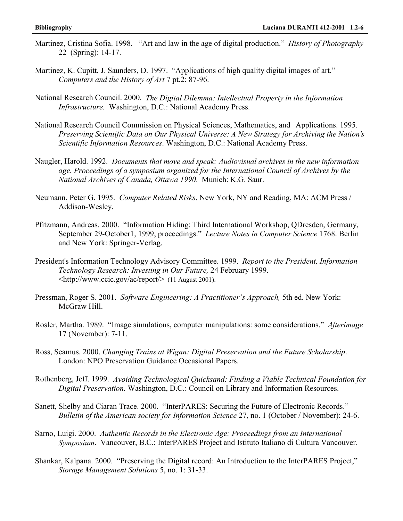- Martinez, Cristina Sofia. 1998. "Art and law in the age of digital production." *History of Photography* 22 (Spring): 14-17.
- Martinez, K. Cupitt, J. Saunders, D. 1997. "Applications of high quality digital images of art." *Computers and the History of Art* 7 pt.2: 87-96.
- National Research Council. 2000. *The Digital Dilemma: Intellectual Property in the Information Infrastructure.* Washington, D.C.: National Academy Press.
- National Research Council Commission on Physical Sciences, Mathematics, and Applications. 1995. *Preserving Scientific Data on Our Physical Universe: A New Strategy for Archiving the Nation's Scientific Information Resources*. Washington, D.C.: National Academy Press.
- Naugler, Harold. 1992. *Documents that move and speak: Audiovisual archives in the new information age. Proceedings of a symposium organized for the International Council of Archives by the National Archives of Canada, Ottawa 1990*. Munich: K.G. Saur.
- Neumann, Peter G. 1995. *Computer Related Risks*. New York, NY and Reading, MA: ACM Press / Addison-Wesley.
- Pfitzmann, Andreas. 2000. "Information Hiding: Third International Workshop, QDresden, Germany, September 29-October1, 1999, proceedings." *Lecture Notes in Computer Science* 1768. Berlin and New York: Springer-Verlag.
- President's Information Technology Advisory Committee. 1999. *Report to the President, Information Technology Research: Investing in Our Future,* 24 February 1999.  $\langle \text{http://www.ccic.gov/ac/report/>(11 August 2001))}$
- Pressman, Roger S. 2001. *Software Engineering: A Practitioner's Approach,* 5th ed. New York: McGraw Hill.
- Rosler, Martha. 1989. "Image simulations, computer manipulations: some considerations." *Afterimage* 17 (November): 7-11.
- Ross, Seamus. 2000. *Changing Trains at Wigan: Digital Preservation and the Future Scholarship*. London: NPO Preservation Guidance Occasional Papers.
- Rothenberg, Jeff. 1999. *Avoiding Technological Quicksand: Finding a Viable Technical Foundation for Digital Preservation.* Washington, D.C.: Council on Library and Information Resources.
- Sanett, Shelby and Ciaran Trace. 2000. "InterPARES: Securing the Future of Electronic Records." *Bulletin of the American society for Information Science* 27, no. 1 (October / November): 24-6.
- Sarno, Luigi. 2000. *Authentic Records in the Electronic Age: Proceedings from an International Symposium*. Vancouver, B.C.: InterPARES Project and Istituto Italiano di Cultura Vancouver.
- Shankar, Kalpana. 2000. "Preserving the Digital record: An Introduction to the InterPARES Project," *Storage Management Solutions* 5, no. 1: 31-33.